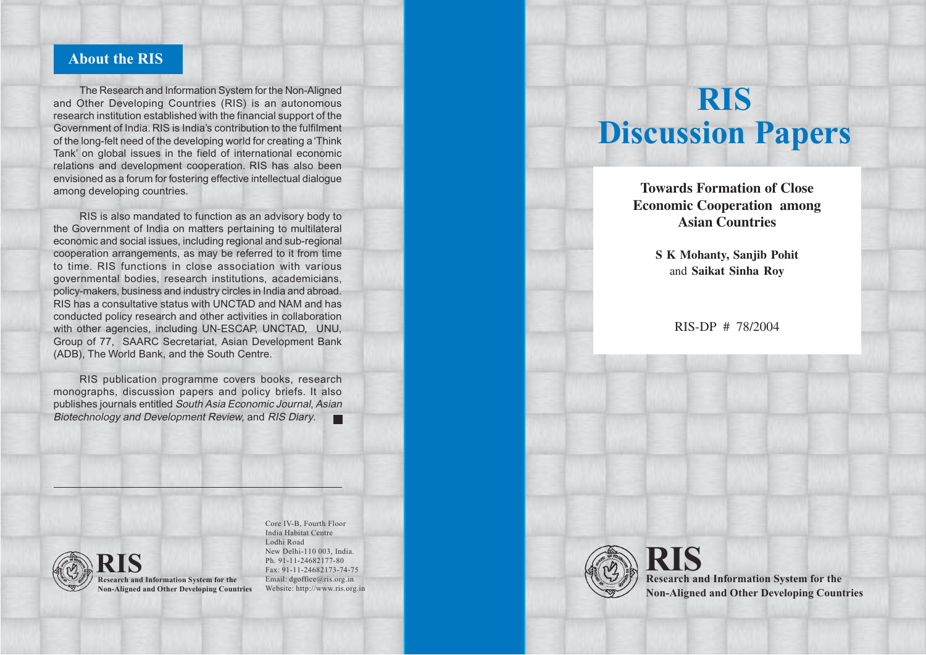# **About the RIS**

The Research and Information System for the Non-Aligned and Other Developing Countries (RIS) is an autonomous research institution established with the financial support of the Government of India. RIS is India's contribution to the fulfilment of the long-felt need of the developing world for creating a 'Think Tank' on global issues in the field of international economic relations and development cooperation. RIS has also been envisioned as a forum for fostering effective intellectual dialogue among developing countries.

RIS is also mandated to function as an advisory body to the Government of India on matters pertaining to multilateral economic and social issues, including regional and sub-regional cooperation arrangements, as may be referred to it from time to time. RIS functions in close association with various governmental bodies, research institutions, academicians, policy-makers, business and industry circles in India and abroad. RIS has a consultative status with UNCTAD and NAM and has conducted policy research and other activities in collaboration with other agencies, including UN-ESCAP, UNCTAD, UNU, Group of 77, SAARC Secretariat, Asian Development Bank (ADB), The World Bank, and the South Centre.

RIS publication programme covers books, research monographs, discussion papers and policy briefs. It also publishes journals entitled South Asia Economic Journal, Asian Biotechnology and Development Review, and RIS Diary.  $\blacksquare$ 



**Research and Information System for the RIS Non-Aligned and Other Developing Countries**

Core IV-B, Fourth Floor India Habitat Centre Lodhi Road New Delhi-110 003, India. Ph. 91-11-24682177-80 Fax: 91-11-24682173-74-75 Email: dgoffice@ris.org.in Website: http://www.ris.org.in

# **RIS Discussion Papers**

**"Ecosystemic Multifunctionality" – Towards Formation of Close Economic Cooperation among Agriculture in the Doha Round of Negotiations Asian Countries**

> and Saikat Sinha Roy **S K Mohanty, Sanjib Pohit**

> > RIS-DP # 60/2003 RIS-DP # 78/2004



**Research and Information System for the RIS Non-Aligned and Other Developing Countries**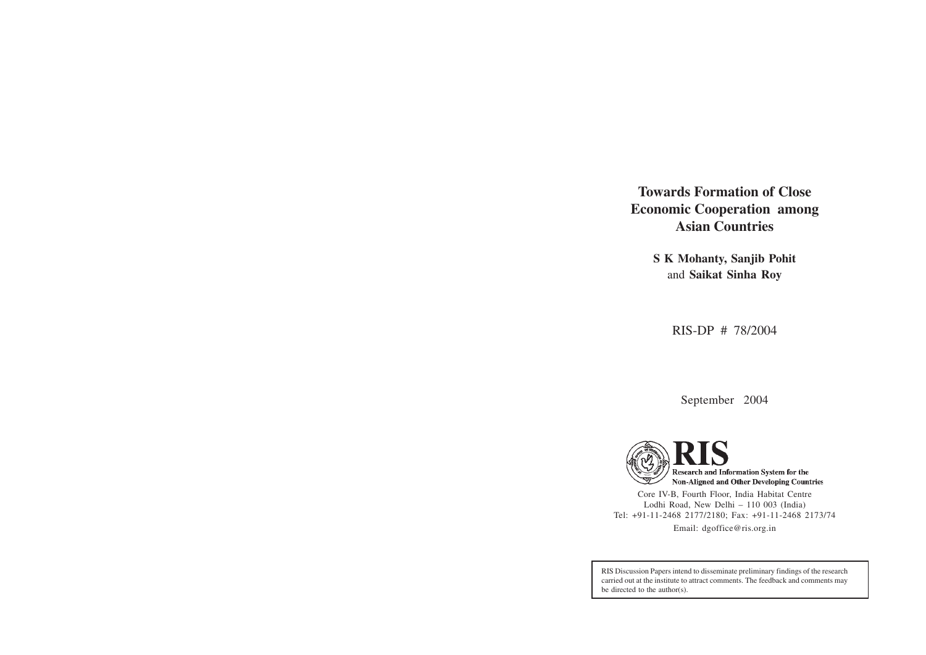**Towards Formation of Close Economic Cooperation among Asian Countries**

> **S K Mohanty, Sanjib Pohit** and **Saikat Sinha Roy**

> > RIS-DP # 78/2004

September 2004



Core IV-B, Fourth Floor, India Habitat Centre Lodhi Road, New Delhi – 110 003 (India) Tel: +91-11-2468 2177/2180; Fax: +91-11-2468 2173/74 Email: dgoffice@ris.org.in

RIS Discussion Papers intend to disseminate preliminary findings of the research carried out at the institute to attract comments. The feedback and comments may be directed to the author(s).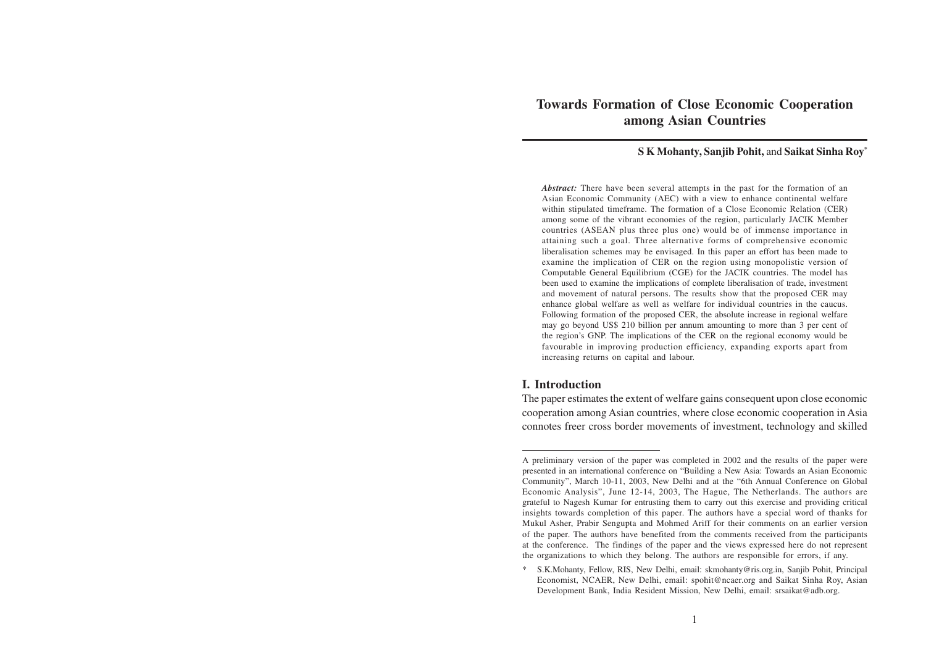## **Towards Formation of Close Economic Cooperation among Asian Countries**

#### **S K Mohanty, Sanjib Pohit,** and **Saikat Sinha Roy\***

*Abstract:* There have been several attempts in the past for the formation of an Asian Economic Community (AEC) with a view to enhance continental welfare within stipulated timeframe. The formation of a Close Economic Relation (CER) among some of the vibrant economies of the region, particularly JACIK Member countries (ASEAN plus three plus one) would be of immense importance in attaining such a goal. Three alternative forms of comprehensive economic liberalisation schemes may be envisaged. In this paper an effort has been made to examine the implication of CER on the region using monopolistic version of Computable General Equilibrium (CGE) for the JACIK countries. The model has been used to examine the implications of complete liberalisation of trade, investment and movement of natural persons. The results show that the proposed CER may enhance global welfare as well as welfare for individual countries in the caucus. Following formation of the proposed CER, the absolute increase in regional welfare may go beyond US\$ 210 billion per annum amounting to more than 3 per cent of the region's GNP. The implications of the CER on the regional economy would be favourable in improving production efficiency, expanding exports apart from increasing returns on capital and labour.

### **I. Introduction**

The paper estimates the extent of welfare gains consequent upon close economic cooperation among Asian countries, where close economic cooperation in Asia connotes freer cross border movements of investment, technology and skilled

A preliminary version of the paper was completed in 2002 and the results of the paper were presented in an international conference on "Building a New Asia: Towards an Asian Economic Community", March 10-11, 2003, New Delhi and at the "6th Annual Conference on Global Economic Analysis", June 12-14, 2003, The Hague, The Netherlands. The authors are grateful to Nagesh Kumar for entrusting them to carry out this exercise and providing critical insights towards completion of this paper. The authors have a special word of thanks for Mukul Asher, Prabir Sengupta and Mohmed Ariff for their comments on an earlier version of the paper. The authors have benefited from the comments received from the participants at the conference. The findings of the paper and the views expressed here do not represent the organizations to which they belong. The authors are responsible for errors, if any.

<sup>\*</sup> S.K.Mohanty, Fellow, RIS, New Delhi, email: skmohanty@ris.org.in, Sanjib Pohit, Principal Economist, NCAER, New Delhi, email: spohit@ncaer.org and Saikat Sinha Roy, Asian Development Bank, India Resident Mission, New Delhi, email: srsaikat@adb.org.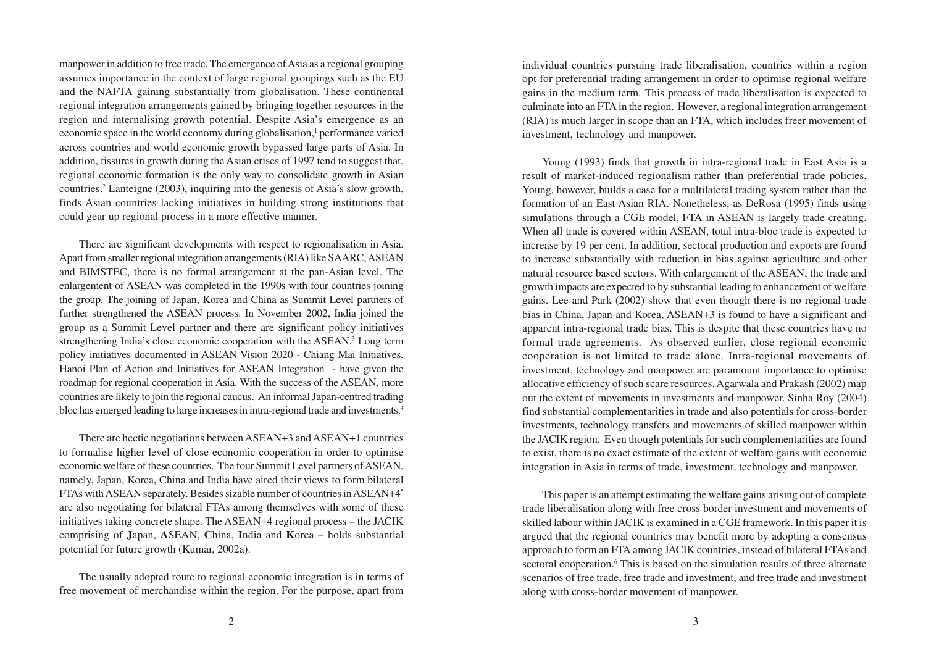manpower in addition to free trade. The emergence of Asia as a regional grouping assumes importance in the context of large regional groupings such as the EU and the NAFTA gaining substantially from globalisation. These continental regional integration arrangements gained by bringing together resources in the region and internalising growth potential. Despite Asia's emergence as an economic space in the world economy during globalisation,<sup>1</sup> performance varied across countries and world economic growth bypassed large parts of Asia. In addition, fissures in growth during the Asian crises of 1997 tend to suggest that, regional economic formation is the only way to consolidate growth in Asian countries.2 Lanteigne (2003), inquiring into the genesis of Asia's slow growth, finds Asian countries lacking initiatives in building strong institutions that could gear up regional process in a more effective manner.

There are significant developments with respect to regionalisation in Asia. Apart from smaller regional integration arrangements (RIA) like SAARC, ASEAN and BIMSTEC, there is no formal arrangement at the pan-Asian level. The enlargement of ASEAN was completed in the 1990s with four countries joining the group. The joining of Japan, Korea and China as Summit Level partners of further strengthened the ASEAN process. In November 2002, India joined the group as a Summit Level partner and there are significant policy initiatives strengthening India's close economic cooperation with the ASEAN.<sup>3</sup> Long term policy initiatives documented in ASEAN Vision 2020 - Chiang Mai Initiatives, Hanoi Plan of Action and Initiatives for ASEAN Integration - have given the roadmap for regional cooperation in Asia. With the success of the ASEAN, more countries are likely to join the regional caucus. An informal Japan-centred trading bloc has emerged leading to large increases in intra-regional trade and investments.4

There are hectic negotiations between ASEAN+3 and ASEAN+1 countries to formalise higher level of close economic cooperation in order to optimise economic welfare of these countries. The four Summit Level partners of ASEAN, namely, Japan, Korea, China and India have aired their views to form bilateral FTAs with ASEAN separately. Besides sizable number of countries in ASEAN+45 are also negotiating for bilateral FTAs among themselves with some of these initiatives taking concrete shape. The ASEAN+4 regional process – the JACIK comprising of **J**apan, **A**SEAN, **C**hina, **I**ndia and **K**orea – holds substantial potential for future growth (Kumar, 2002a).

The usually adopted route to regional economic integration is in terms of free movement of merchandise within the region. For the purpose, apart from individual countries pursuing trade liberalisation, countries within a region opt for preferential trading arrangement in order to optimise regional welfare gains in the medium term. This process of trade liberalisation is expected to culminate into an FTA in the region. However, a regional integration arrangement (RIA) is much larger in scope than an FTA, which includes freer movement of investment, technology and manpower.

Young (1993) finds that growth in intra-regional trade in East Asia is a result of market-induced regionalism rather than preferential trade policies. Young, however, builds a case for a multilateral trading system rather than the formation of an East Asian RIA. Nonetheless, as DeRosa (1995) finds using simulations through a CGE model, FTA in ASEAN is largely trade creating. When all trade is covered within ASEAN, total intra-bloc trade is expected to increase by 19 per cent. In addition, sectoral production and exports are found to increase substantially with reduction in bias against agriculture and other natural resource based sectors. With enlargement of the ASEAN, the trade and growth impacts are expected to by substantial leading to enhancement of welfare gains. Lee and Park (2002) show that even though there is no regional trade bias in China, Japan and Korea, ASEAN+3 is found to have a significant and apparent intra-regional trade bias. This is despite that these countries have no formal trade agreements. As observed earlier, close regional economic cooperation is not limited to trade alone. Intra-regional movements of investment, technology and manpower are paramount importance to optimise allocative efficiency of such scare resources. Agarwala and Prakash (2002) map out the extent of movements in investments and manpower. Sinha Roy (2004) find substantial complementarities in trade and also potentials for cross-border investments, technology transfers and movements of skilled manpower within the JACIK region. Even though potentials for such complementarities are found to exist, there is no exact estimate of the extent of welfare gains with economic integration in Asia in terms of trade, investment, technology and manpower.

This paper is an attempt estimating the welfare gains arising out of complete trade liberalisation along with free cross border investment and movements of skilled labour within JACIK is examined in a CGE framework. In this paper it is argued that the regional countries may benefit more by adopting a consensus approach to form an FTA among JACIK countries, instead of bilateral FTAs and sectoral cooperation.<sup>6</sup> This is based on the simulation results of three alternate scenarios of free trade, free trade and investment, and free trade and investment along with cross-border movement of manpower.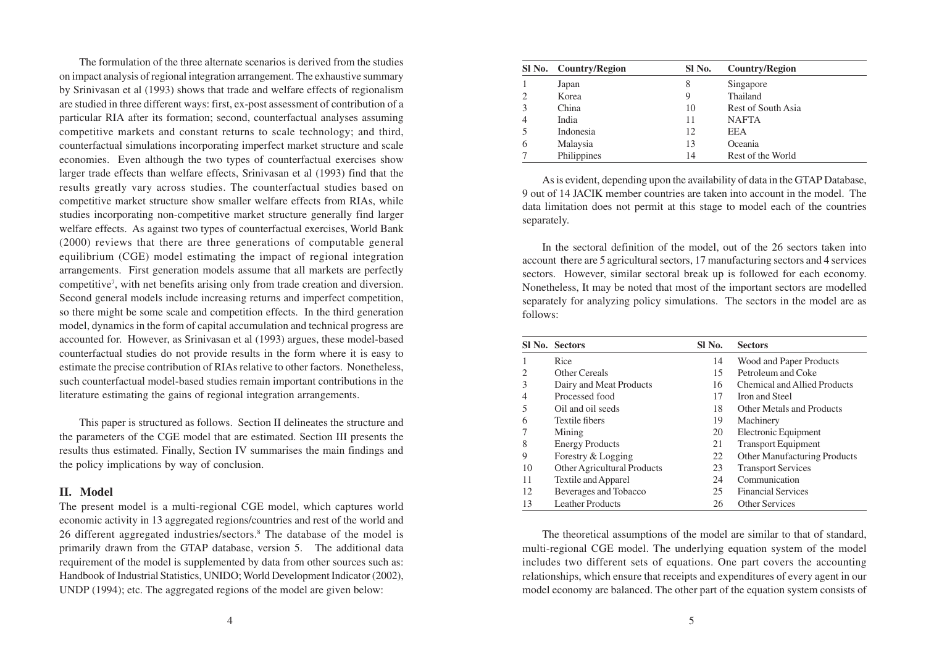The formulation of the three alternate scenarios is derived from the studies on impact analysis of regional integration arrangement. The exhaustive summary by Srinivasan et al (1993) shows that trade and welfare effects of regionalism are studied in three different ways: first, ex-post assessment of contribution of a particular RIA after its formation; second, counterfactual analyses assuming competitive markets and constant returns to scale technology; and third, counterfactual simulations incorporating imperfect market structure and scale economies. Even although the two types of counterfactual exercises show larger trade effects than welfare effects, Srinivasan et al (1993) find that the results greatly vary across studies. The counterfactual studies based on competitive market structure show smaller welfare effects from RIAs, while studies incorporating non-competitive market structure generally find larger welfare effects. As against two types of counterfactual exercises, World Bank (2000) reviews that there are three generations of computable general equilibrium (CGE) model estimating the impact of regional integration arrangements. First generation models assume that all markets are perfectly competitive7 , with net benefits arising only from trade creation and diversion. Second general models include increasing returns and imperfect competition, so there might be some scale and competition effects. In the third generation model, dynamics in the form of capital accumulation and technical progress are accounted for. However, as Srinivasan et al (1993) argues, these model-based counterfactual studies do not provide results in the form where it is easy to estimate the precise contribution of RIAs relative to other factors. Nonetheless, such counterfactual model-based studies remain important contributions in the literature estimating the gains of regional integration arrangements.

This paper is structured as follows. Section II delineates the structure and the parameters of the CGE model that are estimated. Section III presents the results thus estimated. Finally, Section IV summarises the main findings and the policy implications by way of conclusion.

#### **II. Model**

The present model is a multi-regional CGE model, which captures world economic activity in 13 aggregated regions/countries and rest of the world and 26 different aggregated industries/sectors.<sup>8</sup> The database of the model is primarily drawn from the GTAP database, version 5. The additional data requirement of the model is supplemented by data from other sources such as: Handbook of Industrial Statistics, UNIDO; World Development Indicator (2002), UNDP (1994); etc. The aggregated regions of the model are given below:

| SI No. | Country/Region | SI No. | <b>Country/Region</b> |
|--------|----------------|--------|-----------------------|
|        | Japan          | 8      | Singapore             |
|        | Korea          | 9      | Thailand              |
| 3      | China          | 10     | Rest of South Asia    |
| 4      | India          | 11     | <b>NAFTA</b>          |
|        | Indonesia      | 12     | EEA                   |
|        | Malaysia       | 13     | Oceania               |
|        | Philippines    | 14     | Rest of the World     |

As is evident, depending upon the availability of data in the GTAP Database, 9 out of 14 JACIK member countries are taken into account in the model. The data limitation does not permit at this stage to model each of the countries separately.

In the sectoral definition of the model, out of the 26 sectors taken into account there are 5 agricultural sectors, 17 manufacturing sectors and 4 services sectors. However, similar sectoral break up is followed for each economy. Nonetheless, It may be noted that most of the important sectors are modelled separately for analyzing policy simulations. The sectors in the model are as follows:

|    | SI No. Sectors              | SI No. | <b>Sectors</b>                      |
|----|-----------------------------|--------|-------------------------------------|
|    | Rice                        | 14     | Wood and Paper Products             |
| 2  | Other Cereals               | 15     | Petroleum and Coke                  |
| 3  | Dairy and Meat Products     | 16     | Chemical and Allied Products        |
| 4  | Processed food              | 17     | Iron and Steel                      |
| 5  | Oil and oil seeds           | 18     | Other Metals and Products           |
| 6  | Textile fibers              | 19     | Machinery                           |
|    | Mining                      | 20     | Electronic Equipment                |
| 8  | <b>Energy Products</b>      | 21     | <b>Transport Equipment</b>          |
| 9  | Forestry & Logging          | 22     | <b>Other Manufacturing Products</b> |
| 10 | Other Agricultural Products | 23     | <b>Transport Services</b>           |
| 11 | Textile and Apparel         | 24     | Communication                       |
| 12 | Beverages and Tobacco       | 25     | <b>Financial Services</b>           |
| 13 | <b>Leather Products</b>     | 26     | <b>Other Services</b>               |

The theoretical assumptions of the model are similar to that of standard, multi-regional CGE model. The underlying equation system of the model includes two different sets of equations. One part covers the accounting relationships, which ensure that receipts and expenditures of every agent in our model economy are balanced. The other part of the equation system consists of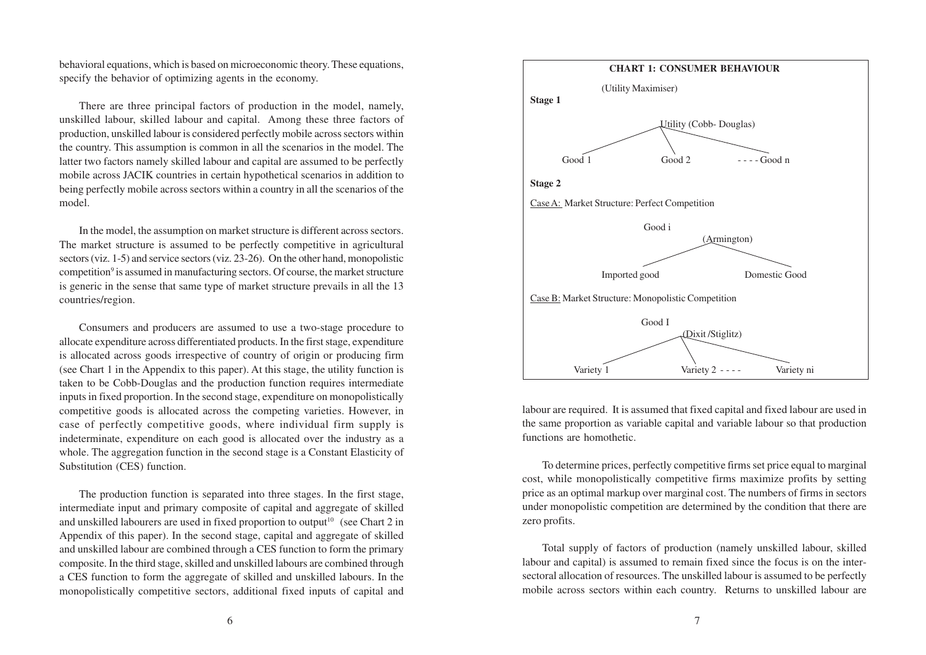behavioral equations, which is based on microeconomic theory. These equations, specify the behavior of optimizing agents in the economy.

There are three principal factors of production in the model, namely, unskilled labour, skilled labour and capital. Among these three factors of production, unskilled labour is considered perfectly mobile across sectors within the country. This assumption is common in all the scenarios in the model. The latter two factors namely skilled labour and capital are assumed to be perfectly mobile across JACIK countries in certain hypothetical scenarios in addition to being perfectly mobile across sectors within a country in all the scenarios of the model.

In the model, the assumption on market structure is different across sectors. The market structure is assumed to be perfectly competitive in agricultural sectors (viz. 1-5) and service sectors (viz. 23-26). On the other hand, monopolistic competition<sup>9</sup> is assumed in manufacturing sectors. Of course, the market structure is generic in the sense that same type of market structure prevails in all the 13 countries/region.

Consumers and producers are assumed to use a two-stage procedure to allocate expenditure across differentiated products. In the first stage, expenditure is allocated across goods irrespective of country of origin or producing firm (see Chart 1 in the Appendix to this paper). At this stage, the utility function is taken to be Cobb-Douglas and the production function requires intermediate inputs in fixed proportion. In the second stage, expenditure on monopolistically competitive goods is allocated across the competing varieties. However, in case of perfectly competitive goods, where individual firm supply is indeterminate, expenditure on each good is allocated over the industry as a whole. The aggregation function in the second stage is a Constant Elasticity of Substitution (CES) function.

The production function is separated into three stages. In the first stage, intermediate input and primary composite of capital and aggregate of skilled and unskilled labourers are used in fixed proportion to output<sup>10</sup> (see Chart 2 in Appendix of this paper). In the second stage, capital and aggregate of skilled and unskilled labour are combined through a CES function to form the primary composite. In the third stage, skilled and unskilled labours are combined through a CES function to form the aggregate of skilled and unskilled labours. In the monopolistically competitive sectors, additional fixed inputs of capital and



labour are required. It is assumed that fixed capital and fixed labour are used in the same proportion as variable capital and variable labour so that production functions are homothetic.

To determine prices, perfectly competitive firms set price equal to marginal cost, while monopolistically competitive firms maximize profits by setting price as an optimal markup over marginal cost. The numbers of firms in sectors under monopolistic competition are determined by the condition that there are zero profits.

Total supply of factors of production (namely unskilled labour, skilled labour and capital) is assumed to remain fixed since the focus is on the intersectoral allocation of resources. The unskilled labour is assumed to be perfectly mobile across sectors within each country. Returns to unskilled labour are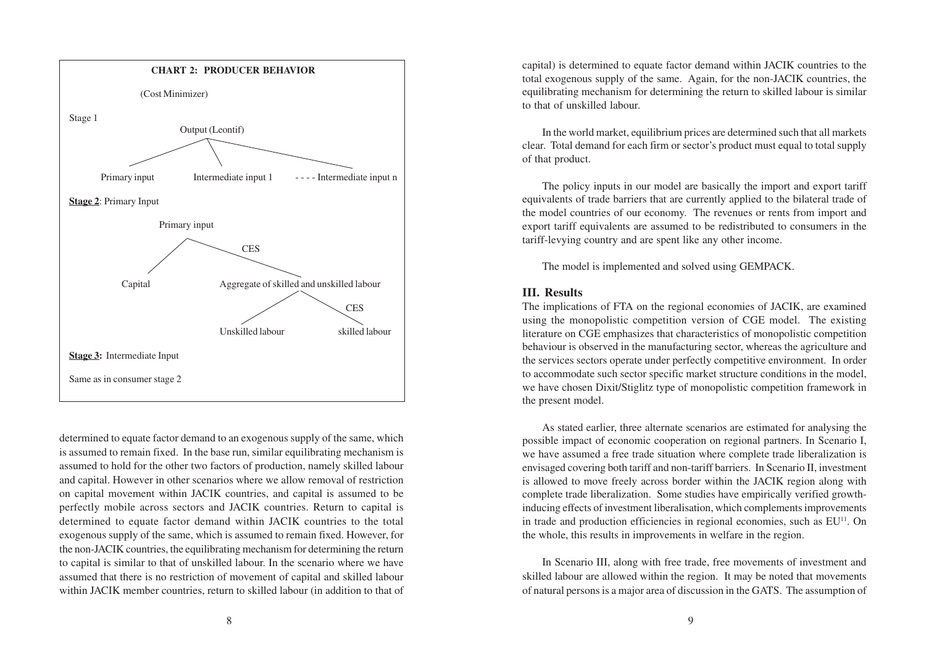

determined to equate factor demand to an exogenous supply of the same, which is assumed to remain fixed. In the base run, similar equilibrating mechanism is assumed to hold for the other two factors of production, namely skilled labour and capital. However in other scenarios where we allow removal of restriction on capital movement within JACIK countries, and capital is assumed to be perfectly mobile across sectors and JACIK countries. Return to capital is determined to equate factor demand within JACIK countries to the total exogenous supply of the same, which is assumed to remain fixed. However, for the non-JACIK countries, the equilibrating mechanism for determining the return to capital is similar to that of unskilled labour. In the scenario where we have assumed that there is no restriction of movement of capital and skilled labour within JACIK member countries, return to skilled labour (in addition to that of

capital) is determined to equate factor demand within JACIK countries to the total exogenous supply of the same. Again, for the non-JACIK countries, the equilibrating mechanism for determining the return to skilled labour is similar to that of unskilled labour.

In the world market, equilibrium prices are determined such that all markets clear. Total demand for each firm or sector's product must equal to total supply of that product.

The policy inputs in our model are basically the import and export tariff equivalents of trade barriers that are currently applied to the bilateral trade of the model countries of our economy. The revenues or rents from import and export tariff equivalents are assumed to be redistributed to consumers in the tariff-levying country and are spent like any other income.

The model is implemented and solved using GEMPACK.

#### **III. Results**

The implications of FTA on the regional economies of JACIK, are examined using the monopolistic competition version of CGE model. The existing literature on CGE emphasizes that characteristics of monopolistic competition behaviour is observed in the manufacturing sector, whereas the agriculture and the services sectors operate under perfectly competitive environment. In order to accommodate such sector specific market structure conditions in the model, we have chosen Dixit/Stiglitz type of monopolistic competition framework in the present model.

As stated earlier, three alternate scenarios are estimated for analysing the possible impact of economic cooperation on regional partners. In Scenario I, we have assumed a free trade situation where complete trade liberalization is envisaged covering both tariff and non-tariff barriers. In Scenario II, investment is allowed to move freely across border within the JACIK region along with complete trade liberalization. Some studies have empirically verified growthinducing effects of investment liberalisation, which complements improvements in trade and production efficiencies in regional economies, such as EU11. On the whole, this results in improvements in welfare in the region.

In Scenario III, along with free trade, free movements of investment and skilled labour are allowed within the region. It may be noted that movements of natural persons is a major area of discussion in the GATS. The assumption of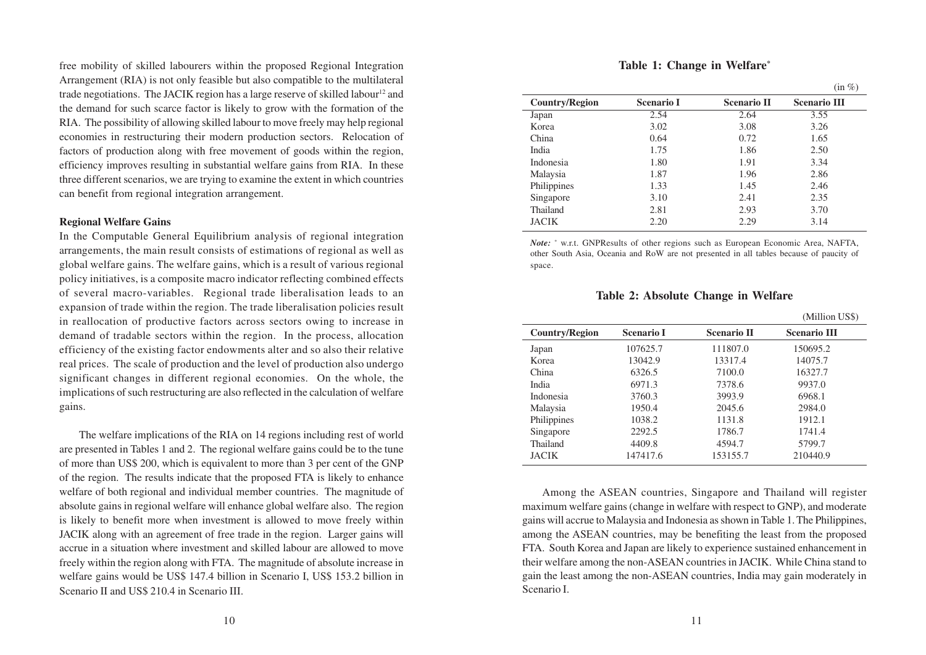free mobility of skilled labourers within the proposed Regional Integration Arrangement (RIA) is not only feasible but also compatible to the multilateral trade negotiations. The JACIK region has a large reserve of skilled labour<sup>12</sup> and the demand for such scarce factor is likely to grow with the formation of the RIA. The possibility of allowing skilled labour to move freely may help regional economies in restructuring their modern production sectors. Relocation of factors of production along with free movement of goods within the region, efficiency improves resulting in substantial welfare gains from RIA. In these three different scenarios, we are trying to examine the extent in which countries can benefit from regional integration arrangement.

#### **Regional Welfare Gains**

In the Computable General Equilibrium analysis of regional integration arrangements, the main result consists of estimations of regional as well as global welfare gains. The welfare gains, which is a result of various regional policy initiatives, is a composite macro indicator reflecting combined effects of several macro-variables. Regional trade liberalisation leads to an expansion of trade within the region. The trade liberalisation policies result in reallocation of productive factors across sectors owing to increase in demand of tradable sectors within the region. In the process, allocation efficiency of the existing factor endowments alter and so also their relative real prices. The scale of production and the level of production also undergo significant changes in different regional economies. On the whole, the implications of such restructuring are also reflected in the calculation of welfare gains.

The welfare implications of the RIA on 14 regions including rest of world are presented in Tables 1 and 2. The regional welfare gains could be to the tune of more than US\$ 200, which is equivalent to more than 3 per cent of the GNP of the region. The results indicate that the proposed FTA is likely to enhance welfare of both regional and individual member countries. The magnitude of absolute gains in regional welfare will enhance global welfare also. The region is likely to benefit more when investment is allowed to move freely within JACIK along with an agreement of free trade in the region. Larger gains will accrue in a situation where investment and skilled labour are allowed to move freely within the region along with FTA. The magnitude of absolute increase in welfare gains would be US\$ 147.4 billion in Scenario I, US\$ 153.2 billion in Scenario II and US\$ 210.4 in Scenario III.

**Table 1: Change in Welfare\***

|                       |                   |                    | $(in \%)$           |
|-----------------------|-------------------|--------------------|---------------------|
| <b>Country/Region</b> | <b>Scenario I</b> | <b>Scenario II</b> | <b>Scenario III</b> |
| Japan                 | 2.54              | 2.64               | 3.55                |
| Korea                 | 3.02              | 3.08               | 3.26                |
| China                 | 0.64              | 0.72               | 1.65                |
| India                 | 1.75              | 1.86               | 2.50                |
| Indonesia             | 1.80              | 1.91               | 3.34                |
| Malaysia              | 1.87              | 1.96               | 2.86                |
| Philippines           | 1.33              | 1.45               | 2.46                |
| Singapore             | 3.10              | 2.41               | 2.35                |
| Thailand              | 2.81              | 2.93               | 3.70                |
| <b>JACIK</b>          | 2.20              | 2.29               | 3.14                |

*Note:* \* w.r.t. GNPResults of other regions such as European Economic Area, NAFTA, other South Asia, Oceania and RoW are not presented in all tables because of paucity of space.

**Table 2: Absolute Change in Welfare**

|                |                   |                    | (Million US\$)      |
|----------------|-------------------|--------------------|---------------------|
| Country/Region | <b>Scenario I</b> | <b>Scenario II</b> | <b>Scenario III</b> |
| Japan          | 107625.7          | 111807.0           | 150695.2            |
| Korea          | 13042.9           | 13317.4            | 14075.7             |
| China          | 6326.5            | 7100.0             | 16327.7             |
| India          | 6971.3            | 7378.6             | 9937.0              |
| Indonesia      | 3760.3            | 3993.9             | 6968.1              |
| Malaysia       | 1950.4            | 2045.6             | 2984.0              |
| Philippines    | 1038.2            | 1131.8             | 1912.1              |
| Singapore      | 2292.5            | 1786.7             | 1741.4              |
| Thailand       | 4409.8            | 4594.7             | 5799.7              |
| <b>JACIK</b>   | 147417.6          | 153155.7           | 210440.9            |

Among the ASEAN countries, Singapore and Thailand will register maximum welfare gains (change in welfare with respect to GNP), and moderate gains will accrue to Malaysia and Indonesia as shown in Table 1. The Philippines, among the ASEAN countries, may be benefiting the least from the proposed FTA. South Korea and Japan are likely to experience sustained enhancement in their welfare among the non-ASEAN countries in JACIK. While China stand to gain the least among the non-ASEAN countries, India may gain moderately in Scenario I.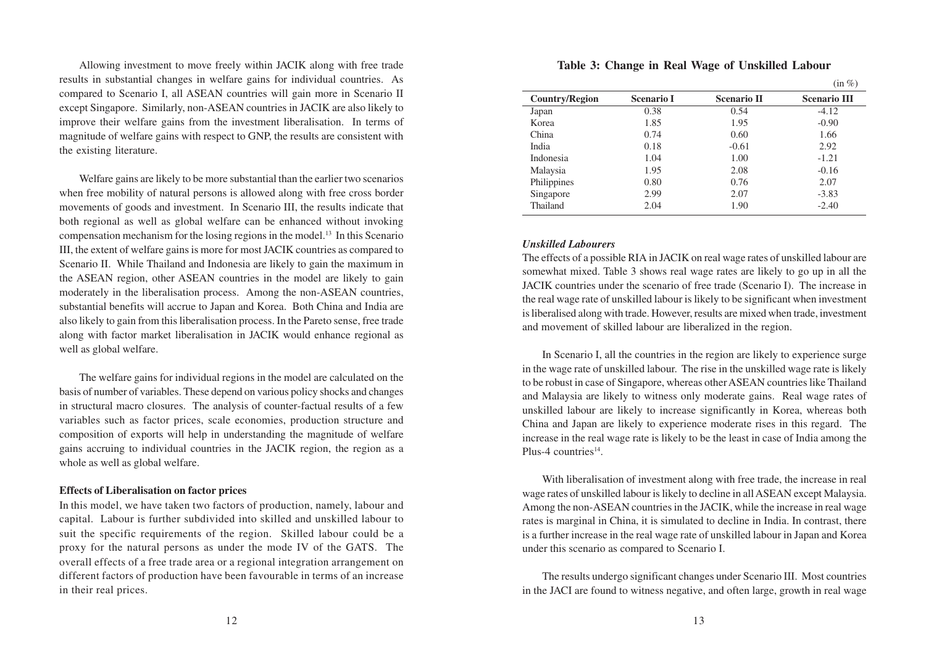Allowing investment to move freely within JACIK along with free trade results in substantial changes in welfare gains for individual countries. As compared to Scenario I, all ASEAN countries will gain more in Scenario II except Singapore. Similarly, non-ASEAN countries in JACIK are also likely to improve their welfare gains from the investment liberalisation. In terms of magnitude of welfare gains with respect to GNP, the results are consistent with the existing literature.

Welfare gains are likely to be more substantial than the earlier two scenarios when free mobility of natural persons is allowed along with free cross border movements of goods and investment. In Scenario III, the results indicate that both regional as well as global welfare can be enhanced without invoking compensation mechanism for the losing regions in the model.13 In this Scenario III, the extent of welfare gains is more for most JACIK countries as compared to Scenario II. While Thailand and Indonesia are likely to gain the maximum in the ASEAN region, other ASEAN countries in the model are likely to gain moderately in the liberalisation process. Among the non-ASEAN countries, substantial benefits will accrue to Japan and Korea. Both China and India are also likely to gain from this liberalisation process. In the Pareto sense, free trade along with factor market liberalisation in JACIK would enhance regional as well as global welfare.

The welfare gains for individual regions in the model are calculated on the basis of number of variables. These depend on various policy shocks and changes in structural macro closures. The analysis of counter-factual results of a few variables such as factor prices, scale economies, production structure and composition of exports will help in understanding the magnitude of welfare gains accruing to individual countries in the JACIK region, the region as a whole as well as global welfare.

#### **Effects of Liberalisation on factor prices**

In this model, we have taken two factors of production, namely, labour and capital. Labour is further subdivided into skilled and unskilled labour to suit the specific requirements of the region. Skilled labour could be a proxy for the natural persons as under the mode IV of the GATS. The overall effects of a free trade area or a regional integration arrangement on different factors of production have been favourable in terms of an increase in their real prices.

|                       |                   |                    | $(in \%)$           |
|-----------------------|-------------------|--------------------|---------------------|
| <b>Country/Region</b> | <b>Scenario I</b> | <b>Scenario II</b> | <b>Scenario III</b> |
| Japan                 | 0.38              | 0.54               | $-4.12$             |
| Korea                 | 1.85              | 1.95               | $-0.90$             |
| China                 | 0.74              | 0.60               | 1.66                |
| India                 | 0.18              | $-0.61$            | 2.92                |
| Indonesia             | 1.04              | 1.00               | $-1.21$             |
| Malaysia              | 1.95              | 2.08               | $-0.16$             |
| Philippines           | 0.80              | 0.76               | 2.07                |
| Singapore             | 2.99              | 2.07               | $-3.83$             |
| Thailand              | 2.04              | 1.90               | $-2.40$             |

**Table 3: Change in Real Wage of Unskilled Labour**

#### *Unskilled Labourers*

The effects of a possible RIA in JACIK on real wage rates of unskilled labour are somewhat mixed. Table 3 shows real wage rates are likely to go up in all the JACIK countries under the scenario of free trade (Scenario I). The increase in the real wage rate of unskilled labour is likely to be significant when investment is liberalised along with trade. However, results are mixed when trade, investment and movement of skilled labour are liberalized in the region.

In Scenario I, all the countries in the region are likely to experience surge in the wage rate of unskilled labour. The rise in the unskilled wage rate is likely to be robust in case of Singapore, whereas other ASEAN countries like Thailand and Malaysia are likely to witness only moderate gains. Real wage rates of unskilled labour are likely to increase significantly in Korea, whereas both China and Japan are likely to experience moderate rises in this regard. The increase in the real wage rate is likely to be the least in case of India among the Plus- $4$  countries<sup>14</sup>.

With liberalisation of investment along with free trade, the increase in real wage rates of unskilled labour is likely to decline in all ASEAN except Malaysia. Among the non-ASEAN countries in the JACIK, while the increase in real wage rates is marginal in China, it is simulated to decline in India. In contrast, there is a further increase in the real wage rate of unskilled labour in Japan and Korea under this scenario as compared to Scenario I.

The results undergo significant changes under Scenario III. Most countries in the JACI are found to witness negative, and often large, growth in real wage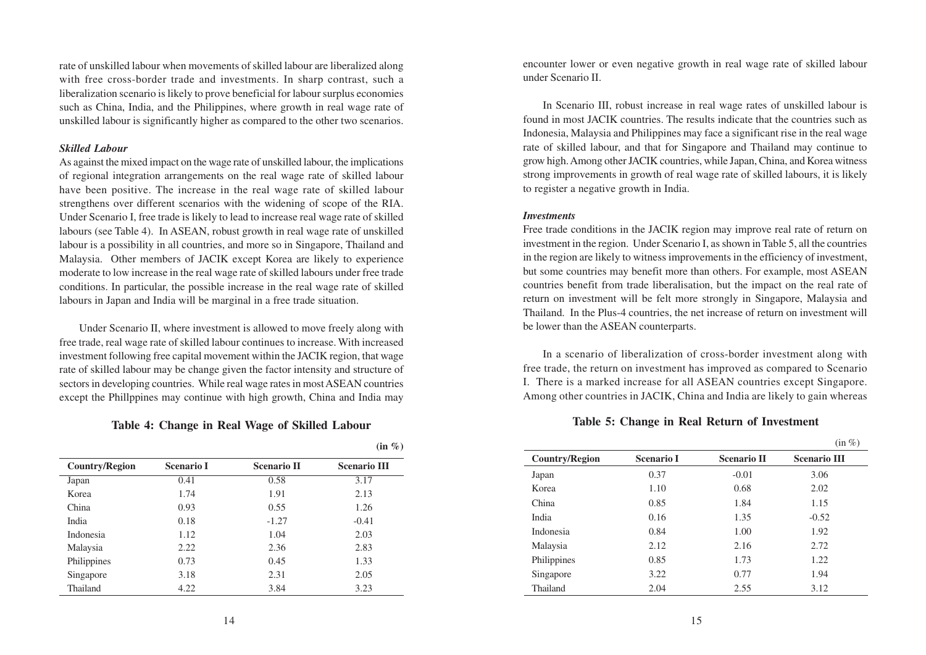rate of unskilled labour when movements of skilled labour are liberalized along with free cross-border trade and investments. In sharp contrast, such a liberalization scenario is likely to prove beneficial for labour surplus economies such as China, India, and the Philippines, where growth in real wage rate of unskilled labour is significantly higher as compared to the other two scenarios.

#### *Skilled Labour*

As against the mixed impact on the wage rate of unskilled labour, the implications of regional integration arrangements on the real wage rate of skilled labour have been positive. The increase in the real wage rate of skilled labour strengthens over different scenarios with the widening of scope of the RIA. Under Scenario I, free trade is likely to lead to increase real wage rate of skilled labours (see Table 4). In ASEAN, robust growth in real wage rate of unskilled labour is a possibility in all countries, and more so in Singapore, Thailand and Malaysia. Other members of JACIK except Korea are likely to experience moderate to low increase in the real wage rate of skilled labours under free trade conditions. In particular, the possible increase in the real wage rate of skilled labours in Japan and India will be marginal in a free trade situation.

Under Scenario II, where investment is allowed to move freely along with free trade, real wage rate of skilled labour continues to increase. With increased investment following free capital movement within the JACIK region, that wage rate of skilled labour may be change given the factor intensity and structure of sectors in developing countries. While real wage rates in most ASEAN countries except the Phillppines may continue with high growth, China and India may

**Table 4: Change in Real Wage of Skilled Labour**

|                       |                   |                    | 11170               |
|-----------------------|-------------------|--------------------|---------------------|
| <b>Country/Region</b> | <b>Scenario I</b> | <b>Scenario II</b> | <b>Scenario III</b> |
| Japan                 | 0.41              | 0.58               | 3.17                |
| Korea                 | 1.74              | 1.91               | 2.13                |
| China                 | 0.93              | 0.55               | 1.26                |
| India                 | 0.18              | $-1.27$            | $-0.41$             |
| Indonesia             | 1.12              | 1.04               | 2.03                |
| Malaysia              | 2.22              | 2.36               | 2.83                |
| Philippines           | 0.73              | 0.45               | 1.33                |
| Singapore             | 3.18              | 2.31               | 2.05                |
| Thailand              | 4.22              | 3.84               | 3.23                |

**(in %)**

encounter lower or even negative growth in real wage rate of skilled labour under Scenario II.

In Scenario III, robust increase in real wage rates of unskilled labour is found in most JACIK countries. The results indicate that the countries such as Indonesia, Malaysia and Philippines may face a significant rise in the real wage rate of skilled labour, and that for Singapore and Thailand may continue to grow high. Among other JACIK countries, while Japan, China, and Korea witness strong improvements in growth of real wage rate of skilled labours, it is likely to register a negative growth in India.

#### *Investments*

Free trade conditions in the JACIK region may improve real rate of return on investment in the region. Under Scenario I, as shown in Table 5, all the countries in the region are likely to witness improvements in the efficiency of investment, but some countries may benefit more than others. For example, most ASEAN countries benefit from trade liberalisation, but the impact on the real rate of return on investment will be felt more strongly in Singapore, Malaysia and Thailand. In the Plus-4 countries, the net increase of return on investment will be lower than the ASEAN counterparts.

In a scenario of liberalization of cross-border investment along with free trade, the return on investment has improved as compared to Scenario I. There is a marked increase for all ASEAN countries except Singapore. Among other countries in JACIK, China and India are likely to gain whereas

#### **Table 5: Change in Real Return of Investment**

|                       |                   |                    | $(in \%)$           |
|-----------------------|-------------------|--------------------|---------------------|
| <b>Country/Region</b> | <b>Scenario I</b> | <b>Scenario II</b> | <b>Scenario III</b> |
| Japan                 | 0.37              | $-0.01$            | 3.06                |
| Korea                 | 1.10              | 0.68               | 2.02                |
| China                 | 0.85              | 1.84               | 1.15                |
| India                 | 0.16              | 1.35               | $-0.52$             |
| Indonesia             | 0.84              | 1.00               | 1.92                |
| Malaysia              | 2.12              | 2.16               | 2.72                |
| Philippines           | 0.85              | 1.73               | 1.22                |
| Singapore             | 3.22              | 0.77               | 1.94                |
| Thailand              | 2.04              | 2.55               | 3.12                |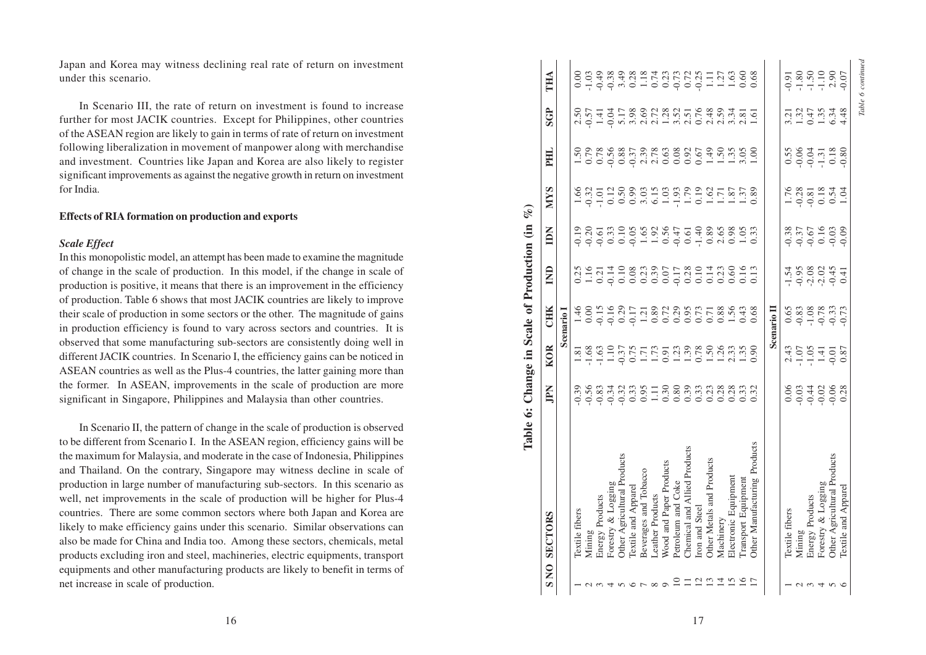Japan and Korea may witness declining real rate of return on investment under this scenario.

In Scenario III, the rate of return on investment is found to increase further for most JACIK countries. Except for Philippines, other countries of the ASEAN region are likely to gain in terms of rate of return on investment following liberalization in movement of manpower along with merchandise and investment. Countries like Japan and Korea are also likely to register significant improvements as against the negative growth in return on investment for India.

#### **Effects of RIA formation on production and exports**

#### *Scale Effect*

In this monopolistic model, an attempt has been made to examine the magnitude of change in the scale of production. In this model, if the change in scale of production is positive, it means that there is an improvement in the efficiency of production. Table 6 shows that most JACIK countries are likely to improve their scale of production in some sectors or the other. The magnitude of gains in production efficiency is found to vary across sectors and countries. It is observed that some manufacturing sub-sectors are consistently doing well in different JACIK countries. In Scenario I, the efficiency gains can be noticed in ASEAN countries as well as the Plus-4 countries, the latter gaining more than the former. In ASEAN, improvements in the scale of production are more significant in Singapore, Philippines and Malaysia than other countries.

In Scenario II, the pattern of change in the scale of production is observed to be different from Scenario I. In the ASEAN region, efficiency gains will be the maximum for Malaysia, and moderate in the case of Indonesia, Philippines and Thailand. On the contrary, Singapore may witness decline in scale of production in large number of manufacturing sub-sectors. In this scenario as well, net improvements in the scale of production will be higher for Plus-4 countries. There are some common sectors where both Japan and Korea are likely to make efficiency gains under this scenario. Similar observations can also be made for China and India too. Among these sectors, chemicals, metal products excluding iron and steel, machineries, electric equipments, transport equipments and other manufacturing products are likely to benefit in terms of net increase in scale of production.

| ning real rate of return on investment                                                                                                                                                                                                                                                                                                                                                                                                                                                       | THA                                                   |                       |                                                           |                 |                                                   |                     |                                                                                                                |                         |                    |                              |               |                                        |                      |                     |                              |                    | $-0.91$        |         | $-1.80$<br>$-1.50$                    | 2.90<br>$-0.07$                                                  |  |
|----------------------------------------------------------------------------------------------------------------------------------------------------------------------------------------------------------------------------------------------------------------------------------------------------------------------------------------------------------------------------------------------------------------------------------------------------------------------------------------------|-------------------------------------------------------|-----------------------|-----------------------------------------------------------|-----------------|---------------------------------------------------|---------------------|----------------------------------------------------------------------------------------------------------------|-------------------------|--------------------|------------------------------|---------------|----------------------------------------|----------------------|---------------------|------------------------------|--------------------|----------------|---------|---------------------------------------|------------------------------------------------------------------|--|
| irn on investment is found to increase<br>Except for Philippines, other countries<br>n in terms of rate of return on investment                                                                                                                                                                                                                                                                                                                                                              | <b>SGP</b>                                            |                       | $2.50$<br>$0.57$<br>$1.41$                                | $-0.04$         | 5.17                                              |                     |                                                                                                                |                         |                    |                              |               |                                        |                      |                     |                              |                    |                | 1.32    | 1.35<br>0.47                          | 6.34<br>4.48                                                     |  |
| it of manpower along with merchandise<br>an and Korea are also likely to register<br>e negative growth in return on investment                                                                                                                                                                                                                                                                                                                                                               | PHIL.                                                 |                       |                                                           |                 |                                                   |                     |                                                                                                                |                         |                    |                              |               |                                        |                      |                     |                              |                    |                |         | $-0.06$<br>$-0.04$<br>$-1.31$         | 0.18<br>$-0.80$                                                  |  |
| tion and exports                                                                                                                                                                                                                                                                                                                                                                                                                                                                             | <b>NIYS</b>                                           |                       | $1.66$<br>$-0.32$<br>$-1.01$                              |                 |                                                   |                     |                                                                                                                |                         |                    |                              |               |                                        |                      |                     |                              |                    | 1.76           | $-0.28$ | $0.18\,$                              | $0.54$<br>1.04                                                   |  |
| has been made to examine the magnitude                                                                                                                                                                                                                                                                                                                                                                                                                                                       | IDN                                                   |                       |                                                           |                 |                                                   |                     |                                                                                                                |                         |                    |                              |               |                                        |                      |                     |                              |                    | $-0.38$        | $-0.37$ | 0.16<br>$-0.67$                       | $-0.03$<br>$-0.09$                                               |  |
| In this model, if the change in scale of<br>here is an improvement in the efficiency                                                                                                                                                                                                                                                                                                                                                                                                         | $\mathbf{m}$                                          |                       | $\begin{array}{c} 0.25 \\ 1.16 \\ 0.21 \end{array}$       |                 |                                                   |                     | 12283251232132613                                                                                              |                         |                    |                              |               |                                        |                      |                     |                              |                    |                | $-0.95$ | $-2.08$<br>$-2.02$                    | $-0.45$<br>0.41                                                  |  |
| st JACIK countries are likely to improve<br>ors or the other. The magnitude of gains<br>vary across sectors and countries. It is                                                                                                                                                                                                                                                                                                                                                             | <b>CHK</b>                                            |                       | $\begin{array}{c} 46 \\ 1.00 \\ 0.16 \\ 0.09 \end{array}$ |                 | 0.29                                              |                     | $\begin{array}{c} 1.21 \\ 0.89 \\ 0.72 \\ 0.00 \\ 0.00 \\ 0.07 \\ 0.73 \\ 0.71 \\ 0.88 \\ 1.56 \\ \end{array}$ |                         |                    |                              |               |                                        |                      | 0.43                | 0.68                         | <b>Scenario</b> II |                | 0.83    | $-0.78$<br>$-1.08$                    | $-0.33$                                                          |  |
| ab-sectors are consistently doing well in<br>o I, the efficiency gains can be noticed in<br>4 countries, the latter gaining more than                                                                                                                                                                                                                                                                                                                                                        | Change in Scale of Production (in<br><b>KOR</b>       |                       | $\frac{28}{1.68}$                                         |                 |                                                   |                     |                                                                                                                |                         |                    |                              |               |                                        |                      |                     |                              |                    |                | $-1.07$ | $-1.05$<br>1.41                       | $-0.01$<br>0.87                                                  |  |
| nts in the scale of production are more<br>and Malaysia than other countries.                                                                                                                                                                                                                                                                                                                                                                                                                | JPN                                                   |                       |                                                           |                 |                                                   |                     |                                                                                                                |                         |                    |                              |               |                                        |                      |                     |                              |                    |                |         |                                       |                                                                  |  |
| ge in the scale of production is observed<br>ASEAN region, efficiency gains will be<br>erate in the case of Indonesia, Philippines<br>apore may witness decline in scale of<br>acturing sub-sectors. In this scenario as<br>of production will be higher for Plus-4<br>sectors where both Japan and Korea are<br>this scenario. Similar observations can<br>Among these sectors, chemicals, metal<br>chineries, electric equipments, transport<br>products are likely to benefit in terms of | Table 6:<br><b>SECTORS</b><br>$\overline{\mathsf{S}}$ | <b>Textile</b> fibers | Mining                                                    | Energy Products | Forestry & Logging<br>Other Agricultural Products | Textile and Apparel | Beverages and Tobacco<br><b>Leather Products</b>                                                               | Wood and Paper Products | Petroleum and Coke | Chemical and Allied Products | ron and Steel | Other Metals and Products<br>Machinery | Electronic Equipment | Transport Equipment | Other Manufacturing Products |                    | Textile fibers | Mining  | Forestry & Logging<br>Energy Products | Other Agricultural Products<br>Textile and Apparel               |  |
|                                                                                                                                                                                                                                                                                                                                                                                                                                                                                              | $\boldsymbol{\omega}$                                 |                       |                                                           |                 |                                                   |                     |                                                                                                                |                         |                    |                              |               |                                        |                      |                     |                              |                    |                |         |                                       | $\begin{array}{c} 0.004 & 0.004 \\ 0.000 & 0.004 \\ \end{array}$ |  |
| 16                                                                                                                                                                                                                                                                                                                                                                                                                                                                                           |                                                       |                       |                                                           |                 |                                                   |                     |                                                                                                                |                         |                    |                              | 17            |                                        |                      |                     |                              |                    |                |         |                                       |                                                                  |  |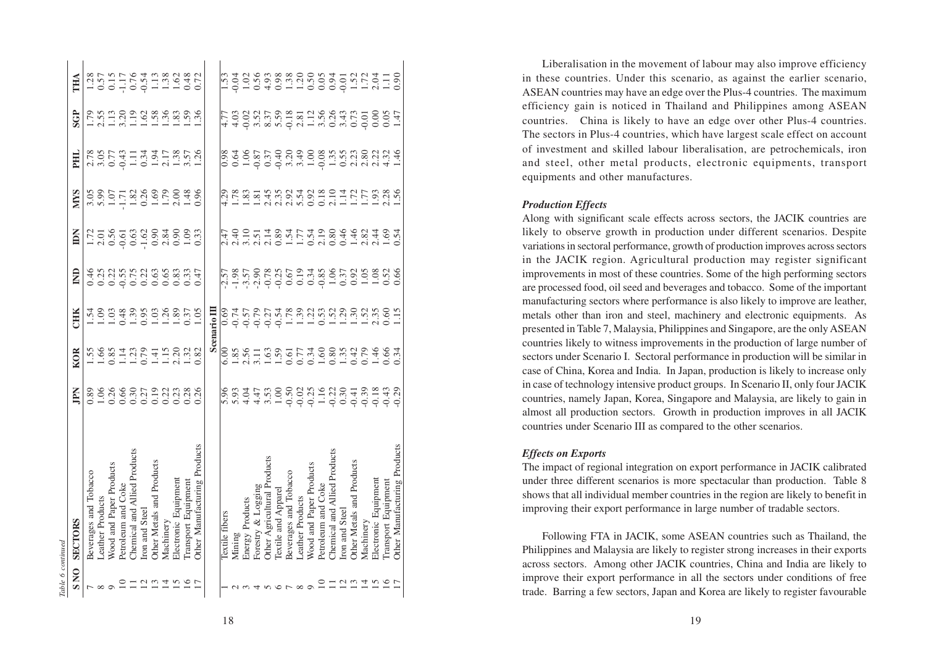| able 6 continuea |                              |   |      |                    |   |                                                                                                                             |                                                                                                                                                                                                                                                                                                               |                                              |               |                                                                                                                                                                                                                                                                                                                                                                                |
|------------------|------------------------------|---|------|--------------------|---|-----------------------------------------------------------------------------------------------------------------------------|---------------------------------------------------------------------------------------------------------------------------------------------------------------------------------------------------------------------------------------------------------------------------------------------------------------|----------------------------------------------|---------------|--------------------------------------------------------------------------------------------------------------------------------------------------------------------------------------------------------------------------------------------------------------------------------------------------------------------------------------------------------------------------------|
| SNO              | <b>SECTORS</b>               | Ă | KOR  | CHK                | ₿ | 旨                                                                                                                           | <b>NINS</b>                                                                                                                                                                                                                                                                                                   | FHI                                          | SGP           | THA                                                                                                                                                                                                                                                                                                                                                                            |
|                  | Beverages and Tobacco        |   |      |                    |   |                                                                                                                             |                                                                                                                                                                                                                                                                                                               |                                              |               |                                                                                                                                                                                                                                                                                                                                                                                |
| $\sim \infty$    | Leather Products             |   |      |                    |   |                                                                                                                             |                                                                                                                                                                                                                                                                                                               |                                              |               |                                                                                                                                                                                                                                                                                                                                                                                |
|                  | Wood and Paper Products      |   |      |                    |   |                                                                                                                             |                                                                                                                                                                                                                                                                                                               |                                              |               |                                                                                                                                                                                                                                                                                                                                                                                |
|                  | Petroleum and Coke           |   |      |                    |   |                                                                                                                             |                                                                                                                                                                                                                                                                                                               |                                              |               |                                                                                                                                                                                                                                                                                                                                                                                |
| $\frac{11}{22}$  | Chemical and Allied Products |   |      |                    |   | $1.70$<br>$1.05$ $0.60$<br>$0.60$<br>$0.60$<br>$0.60$<br>$0.60$<br>$0.60$<br>$0.60$<br>$0.60$<br>$0.60$<br>$0.60$<br>$0.60$ | $\begin{array}{c} 3.05 \\ 3.97 \\ 7.11 \\ 8.28 \\ 9.39 \\ 1.71 \\ 1.82 \\ 1.09 \\ 1.09 \\ 1.09 \\ 1.09 \\ 1.09 \\ 1.09 \\ 1.09 \\ 1.09 \\ 1.09 \\ 1.09 \\ 1.09 \\ 1.09 \\ 1.09 \\ 1.09 \\ 1.09 \\ 1.09 \\ 1.09 \\ 1.09 \\ 1.09 \\ 1.09 \\ 1.09 \\ 1.09 \\ 1.09 \\ 1.09 \\ 1.09 \\ 1.09 \\ 1.09 \\ 1.09 \\ 1.$ | 2007<br>2007: 1907: 1919<br>2007: 1919: 1929 | 29.5992888938 | $\begin{array}{c}\n 1.28 \\  0.57 \\  0.11 \\  -0.74 \\  0.34 \\  -0.43 \\  0.48 \\  0.72 \\  -0.64 \\  -0.64 \\  0.72 \\  -0.64 \\  -0.64 \\  -0.64 \\  -0.72 \\  -0.72 \\  -0.72 \\  -0.72 \\  -0.72 \\  -0.72 \\  -0.72 \\  -0.72 \\  -0.72 \\  -0.72 \\  -0.72 \\  -0.72 \\  -0.72 \\  -0.72 \\  -0.72 \\  -0.72 \\  -0.72 \\  -0.72 \\  -0.72 \\  -0.72 \\  -0.72 \\  -0$ |
|                  | fron and Steel               |   |      |                    |   |                                                                                                                             |                                                                                                                                                                                                                                                                                                               |                                              |               |                                                                                                                                                                                                                                                                                                                                                                                |
|                  | Other Metals and Products    |   |      |                    |   |                                                                                                                             |                                                                                                                                                                                                                                                                                                               |                                              |               |                                                                                                                                                                                                                                                                                                                                                                                |
| $\frac{14}{15}$  | Machinery                    |   |      |                    |   |                                                                                                                             |                                                                                                                                                                                                                                                                                                               |                                              |               |                                                                                                                                                                                                                                                                                                                                                                                |
|                  | Electronic Equipment         |   |      |                    |   |                                                                                                                             |                                                                                                                                                                                                                                                                                                               |                                              |               |                                                                                                                                                                                                                                                                                                                                                                                |
|                  | Transport Equipment          |   |      |                    |   |                                                                                                                             |                                                                                                                                                                                                                                                                                                               |                                              |               |                                                                                                                                                                                                                                                                                                                                                                                |
|                  | Other Manufacturing Products |   |      |                    |   |                                                                                                                             |                                                                                                                                                                                                                                                                                                               |                                              |               |                                                                                                                                                                                                                                                                                                                                                                                |
|                  |                              |   |      | <b>Scenario</b> II |   |                                                                                                                             |                                                                                                                                                                                                                                                                                                               |                                              |               |                                                                                                                                                                                                                                                                                                                                                                                |
|                  | lextile fibers               |   | 5.00 |                    |   |                                                                                                                             |                                                                                                                                                                                                                                                                                                               |                                              |               |                                                                                                                                                                                                                                                                                                                                                                                |
|                  | Mining                       |   |      |                    |   |                                                                                                                             |                                                                                                                                                                                                                                                                                                               |                                              |               |                                                                                                                                                                                                                                                                                                                                                                                |
|                  | Energy Products              |   |      |                    |   |                                                                                                                             |                                                                                                                                                                                                                                                                                                               |                                              |               |                                                                                                                                                                                                                                                                                                                                                                                |
|                  | Forestry & Logging           |   |      |                    |   |                                                                                                                             |                                                                                                                                                                                                                                                                                                               |                                              |               |                                                                                                                                                                                                                                                                                                                                                                                |
|                  | Other Agricultural Products  |   |      |                    |   |                                                                                                                             |                                                                                                                                                                                                                                                                                                               |                                              |               |                                                                                                                                                                                                                                                                                                                                                                                |
|                  | Textile and Appare           |   |      |                    |   |                                                                                                                             |                                                                                                                                                                                                                                                                                                               |                                              |               |                                                                                                                                                                                                                                                                                                                                                                                |
|                  | Beverages and Tobacco        |   |      |                    |   |                                                                                                                             |                                                                                                                                                                                                                                                                                                               |                                              |               |                                                                                                                                                                                                                                                                                                                                                                                |
|                  | <b>Leather Products</b>      |   |      |                    |   |                                                                                                                             |                                                                                                                                                                                                                                                                                                               |                                              |               |                                                                                                                                                                                                                                                                                                                                                                                |
|                  | Wood and Paper Products      |   |      |                    |   |                                                                                                                             |                                                                                                                                                                                                                                                                                                               |                                              |               |                                                                                                                                                                                                                                                                                                                                                                                |
|                  | Petroleum and Coke           |   |      |                    |   |                                                                                                                             |                                                                                                                                                                                                                                                                                                               |                                              |               |                                                                                                                                                                                                                                                                                                                                                                                |
|                  | Chemical and Allied Product  |   |      |                    |   |                                                                                                                             |                                                                                                                                                                                                                                                                                                               |                                              |               |                                                                                                                                                                                                                                                                                                                                                                                |
|                  | fron and Steel               |   |      |                    |   |                                                                                                                             |                                                                                                                                                                                                                                                                                                               |                                              |               |                                                                                                                                                                                                                                                                                                                                                                                |
|                  | Other Metals and Products    |   |      |                    |   |                                                                                                                             |                                                                                                                                                                                                                                                                                                               |                                              |               |                                                                                                                                                                                                                                                                                                                                                                                |
|                  | Machinery                    |   |      |                    |   |                                                                                                                             |                                                                                                                                                                                                                                                                                                               |                                              |               |                                                                                                                                                                                                                                                                                                                                                                                |
|                  | Electronic Equipmen          |   |      |                    |   |                                                                                                                             |                                                                                                                                                                                                                                                                                                               |                                              |               |                                                                                                                                                                                                                                                                                                                                                                                |
| 21211291         | Transport Equipment          |   |      |                    |   | 1700 1700 1710 080 400 400 400<br>1700 1710 1720 1730 1730 1740 1750<br>1700 1700 1710 1720 1730 1740 175                   |                                                                                                                                                                                                                                                                                                               |                                              |               | 53 3 3 3 3 3 3 4 5 5 5 5 6 7 5 7 7 7 7 7 7<br> - 0 5 7 8 9 7 8 9 7 8 9 9 0 0 0 0 0 1 1 2 9 0 0                                                                                                                                                                                                                                                                                 |
|                  | Other Manufacturing Products |   |      |                    |   |                                                                                                                             |                                                                                                                                                                                                                                                                                                               |                                              |               |                                                                                                                                                                                                                                                                                                                                                                                |

Liberalisation in the movement of labour may also improve efficiency in these countries. Under this scenario, as against the earlier scenario, ASEAN countries may have an edge over the Plus-4 countries. The maximum efficiency gain is noticed in Thailand and Philippines among ASEAN countries. China is likely to have an edge over other Plus-4 countries. The sectors in Plus-4 countries, which have largest scale effect on account of investment and skilled labour liberalisation, are petrochemicals, iron and steel, other metal products, electronic equipments, transport equipments and other manufactures.

#### *Production Effects*

Along with significant scale effects across sectors, the JACIK countries are likely to observe growth in production under different scenarios. Despite variations in sectoral performance, growth of production improves across sectors in the JACIK region. Agricultural production may register significant improvements in most of these countries. Some of the high performing sectors are processed food, oil seed and beverages and tobacco. Some of the important manufacturing sectors where performance is also likely to improve are leather, metals other than iron and steel, machinery and electronic equipments. As presented in Table 7, Malaysia, Philippines and Singapore, are the only ASEAN countries likely to witness improvements in the production of large number of sectors under Scenario I. Sectoral performance in production will be similar in case of China, Korea and India. In Japan, production is likely to increase only in case of technology intensive product groups. In Scenario II, only four JACIK countries, namely Japan, Korea, Singapore and Malaysia, are likely to gain in almost all production sectors. Growth in production improves in all JACIK countries under Scenario III as compared to the other scenarios.

#### *Effects on Exports*

The impact of regional integration on export performance in JACIK calibrated under three different scenarios is more spectacular than production. Table 8 shows that all individual member countries in the region are likely to benefit in improving their export performance in large number of tradable sectors.

Following FTA in JACIK, some ASEAN countries such as Thailand, the Philippines and Malaysia are likely to register strong increases in their exports across sectors. Among other JACIK countries, China and India are likely to improve their export performance in all the sectors under conditions of free trade. Barring a few sectors, Japan and Korea are likely to register favourable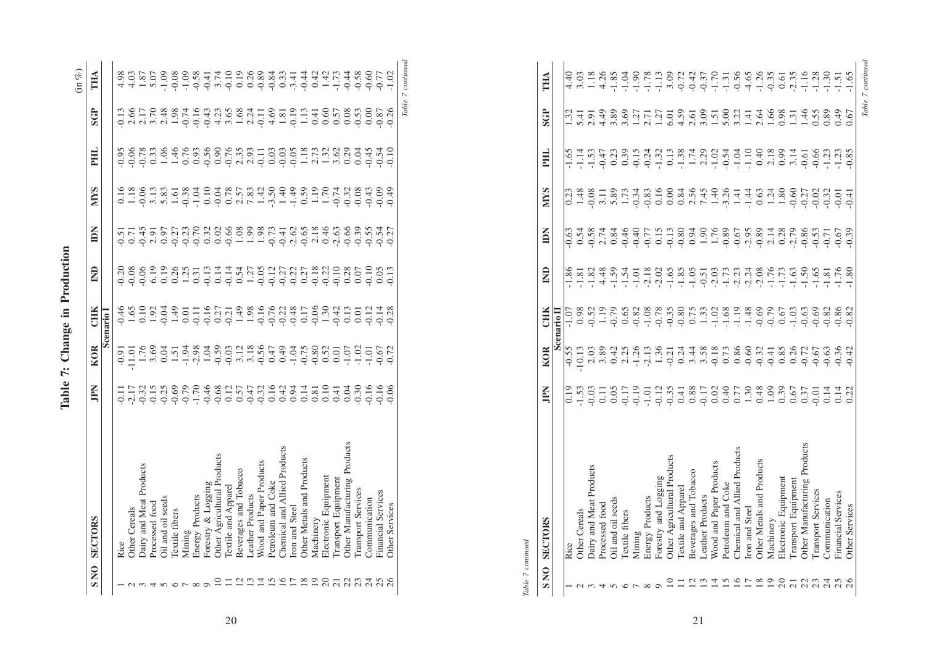|                          |                              |    |            |                       |              |   |             |     |            | (in %)            |
|--------------------------|------------------------------|----|------------|-----------------------|--------------|---|-------------|-----|------------|-------------------|
| <b>SNO</b>               | <b>SECTORS</b>               | EN | <b>KOR</b> | <b>CHIK</b>           | $\mathsf{g}$ | ă | <b>NIVS</b> | PНL | <b>SGP</b> | ÎНД               |
|                          |                              |    |            | Scenario <sup>1</sup> |              |   |             |     |            |                   |
|                          | Rice                         |    |            |                       |              |   |             |     |            |                   |
|                          | <b>Other Cereals</b>         |    |            |                       |              |   |             |     |            |                   |
|                          | Dairy and Meat Products      |    |            |                       |              |   |             |     |            |                   |
|                          | processed food               |    |            |                       |              |   |             |     |            |                   |
|                          | <b>Dil</b> and oil seeds     |    |            |                       |              |   |             |     |            |                   |
|                          | lextile fibers               |    |            |                       |              |   |             |     |            |                   |
|                          | Mining                       |    |            |                       |              |   |             |     |            |                   |
| $\infty$                 | Energy Products              |    |            |                       |              |   |             |     |            |                   |
| $\circ$                  | Forestry & Logging           |    |            |                       |              |   |             |     |            |                   |
|                          | Ther Agricultural Products   |    |            |                       |              |   |             |     |            |                   |
|                          | lextile and Appare           |    |            |                       |              |   |             |     |            |                   |
| $\overline{\mathcal{C}}$ | Beverages and Tobacco        |    |            |                       |              |   |             |     |            |                   |
| 13                       | <b>Leather Products</b>      |    |            |                       |              |   |             |     |            |                   |
| Ξ                        | Wood and Paper Products      |    |            |                       |              |   |             |     |            |                   |
|                          | Petroleum and Coke           |    |            |                       |              |   |             |     |            |                   |
| 1507                     | Chemical and Allied Products |    |            |                       |              |   |             |     |            |                   |
|                          | ron and Steel                |    |            |                       |              |   |             |     |            |                   |
| $\frac{8}{19}$           | Other Metals and Products    |    |            |                       |              |   |             |     |            |                   |
|                          | Machinery                    |    |            |                       |              |   |             |     |            |                   |
|                          | Electronic Equipment         |    |            |                       |              |   |             |     |            |                   |
| $\frac{20}{21}$          | ransport Equipmen            |    |            |                       |              |   |             |     |            |                   |
| 22                       | Other Manufacturing          |    |            |                       |              |   |             |     |            |                   |
|                          | Transport Service            |    |            |                       |              |   |             |     |            |                   |
|                          | Communication                |    |            |                       |              |   |             |     |            |                   |
|                          | inancial Services            |    |            |                       |              |   |             |     |            |                   |
|                          | <b>Other Services</b>        |    |            |                       |              |   |             |     |            |                   |
|                          |                              |    |            |                       |              |   |             |     |            | Table 7 continued |

Table 7: Change in Production **Table 7: Change in Production**

> Table 7 continued *Table 7 continued*

| SNO             | <b>SECTORS</b>               | Ădri                                                                                                | <b>KOR</b> | <b>CHIK</b> | $\mathsf{\hat{z}}$ | Ă | <b>NIVS</b> | HК | <b>SGP</b>                                                                                                                                                                                                                                                                                                                      | THA               |
|-----------------|------------------------------|-----------------------------------------------------------------------------------------------------|------------|-------------|--------------------|---|-------------|----|---------------------------------------------------------------------------------------------------------------------------------------------------------------------------------------------------------------------------------------------------------------------------------------------------------------------------------|-------------------|
|                 |                              |                                                                                                     |            | Scenario II |                    |   |             |    |                                                                                                                                                                                                                                                                                                                                 |                   |
|                 | Rice                         | 0.19                                                                                                |            |             |                    |   |             |    | $\ddot{32}$                                                                                                                                                                                                                                                                                                                     | 4.40              |
|                 | <b>Other Cereals</b>         |                                                                                                     |            |             |                    |   |             |    |                                                                                                                                                                                                                                                                                                                                 |                   |
|                 | Dairy and Meat Products      |                                                                                                     |            |             |                    |   |             |    |                                                                                                                                                                                                                                                                                                                                 |                   |
|                 | Processed food               |                                                                                                     |            |             |                    |   |             |    |                                                                                                                                                                                                                                                                                                                                 |                   |
|                 | Oil and oil seeds            |                                                                                                     |            |             |                    |   |             |    |                                                                                                                                                                                                                                                                                                                                 |                   |
|                 | <b>Textile</b> fibers        | 5<br>5 3 5 5 5 5 6 7 7 8 7 8 7 8 7 8 7 8 7 8 9 8 7 8 7<br>5 6 7 8 7 9 5 6 7 8 8 7 8 9 8 9 8 9 8 7 8 |            |             |                    |   |             |    | $\frac{1}{2}$ , $\frac{3}{2}$ , $\frac{3}{2}$ , $\frac{3}{2}$ , $\frac{5}{2}$ , $\frac{1}{2}$ , $\frac{1}{2}$ , $\frac{3}{2}$ , $\frac{3}{2}$ , $\frac{5}{2}$ , $\frac{1}{2}$ , $\frac{1}{2}$ , $\frac{3}{2}$ , $\frac{3}{2}$ , $\frac{5}{2}$ , $\frac{3}{2}$ , $\frac{3}{2}$ , $\frac{5}{2}$ , $\frac{3}{2}$ , $\frac{3}{2}$ , |                   |
|                 | Mining                       |                                                                                                     |            |             |                    |   |             |    |                                                                                                                                                                                                                                                                                                                                 |                   |
|                 | Energy Products              |                                                                                                     |            |             |                    |   |             |    |                                                                                                                                                                                                                                                                                                                                 |                   |
|                 | Forestry and Logging         |                                                                                                     |            |             |                    |   |             |    |                                                                                                                                                                                                                                                                                                                                 |                   |
|                 | Other Agricultural Products  |                                                                                                     |            |             |                    |   |             |    |                                                                                                                                                                                                                                                                                                                                 |                   |
|                 | Textile and Apparel          |                                                                                                     |            |             |                    |   |             |    |                                                                                                                                                                                                                                                                                                                                 |                   |
| $\overline{c}$  | Beverages and Tobacco        |                                                                                                     |            |             |                    |   |             |    |                                                                                                                                                                                                                                                                                                                                 |                   |
| 13              | <b>Leather Products</b>      |                                                                                                     |            |             |                    |   |             |    |                                                                                                                                                                                                                                                                                                                                 |                   |
| $\overline{1}$  | Wood and Paper Products      |                                                                                                     |            |             |                    |   |             |    |                                                                                                                                                                                                                                                                                                                                 |                   |
| 15              | Petroleum and Coke           |                                                                                                     |            |             |                    |   |             |    |                                                                                                                                                                                                                                                                                                                                 |                   |
| 16              | Chemical and Allied Products |                                                                                                     |            |             |                    |   |             |    |                                                                                                                                                                                                                                                                                                                                 |                   |
| $\overline{1}$  | ron and Steel                |                                                                                                     |            |             |                    |   |             |    |                                                                                                                                                                                                                                                                                                                                 |                   |
| 18              | Other Metals and Products    |                                                                                                     |            |             |                    |   |             |    |                                                                                                                                                                                                                                                                                                                                 |                   |
| $\overline{19}$ | Machinery                    |                                                                                                     |            |             |                    |   |             |    |                                                                                                                                                                                                                                                                                                                                 |                   |
|                 | Electronic Equipment         |                                                                                                     |            |             |                    |   |             |    |                                                                                                                                                                                                                                                                                                                                 |                   |
| នគនន            | Transport Equipmen           |                                                                                                     |            |             |                    |   |             |    |                                                                                                                                                                                                                                                                                                                                 |                   |
|                 | Other Manufacturing Products |                                                                                                     |            |             |                    |   |             |    |                                                                                                                                                                                                                                                                                                                                 |                   |
|                 | Transport Services           |                                                                                                     |            |             |                    |   |             |    |                                                                                                                                                                                                                                                                                                                                 |                   |
|                 | Communication                | 0.14                                                                                                |            |             |                    |   |             |    |                                                                                                                                                                                                                                                                                                                                 |                   |
|                 | Financial Services           |                                                                                                     |            |             |                    |   |             |    |                                                                                                                                                                                                                                                                                                                                 |                   |
| 26              | <b>Other Services</b>        | 0.22                                                                                                |            | 0.82        |                    |   | 0.4         |    | 0.67                                                                                                                                                                                                                                                                                                                            |                   |
|                 |                              |                                                                                                     |            |             |                    |   |             |    |                                                                                                                                                                                                                                                                                                                                 | Table 7 continued |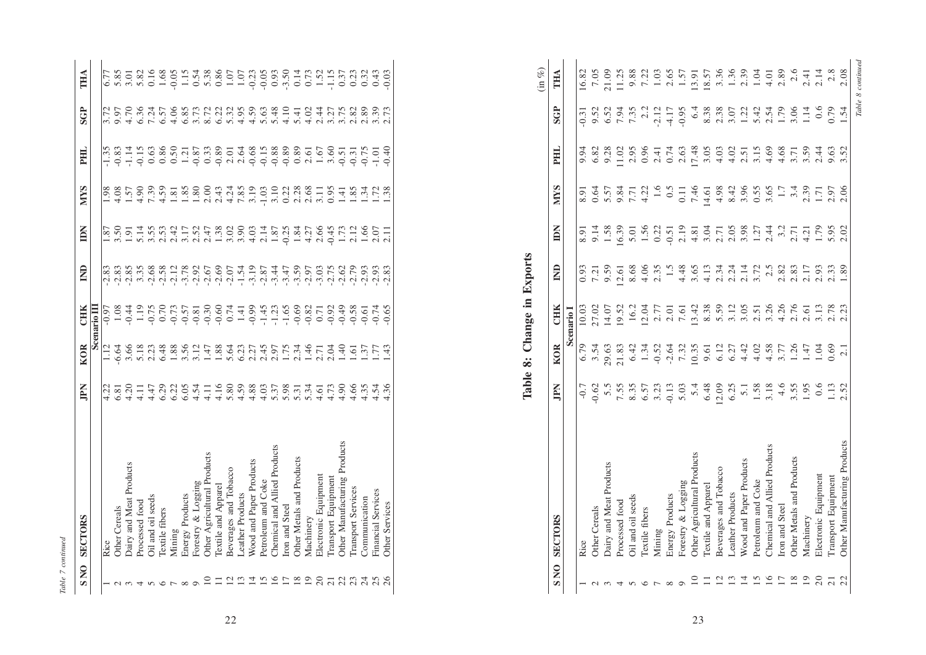| Ξ |  |
|---|--|
| t |  |
| š |  |

| <b>SNO</b> | <b>SECTORS</b>                 | IPN                                  | <b>KOR</b>                 | CHK         | $\widehat{\mathsf{z}}$ | ă              | <b>NIVS</b>   | FН | <b>SGP</b>                                                                                                                                                                                                                          | THA                                                            |
|------------|--------------------------------|--------------------------------------|----------------------------|-------------|------------------------|----------------|---------------|----|-------------------------------------------------------------------------------------------------------------------------------------------------------------------------------------------------------------------------------------|----------------------------------------------------------------|
|            |                                |                                      |                            | Scenario II |                        |                |               |    |                                                                                                                                                                                                                                     |                                                                |
|            | Rice                           | $\frac{1}{2}$                        |                            |             |                        | $\overline{8}$ | $\frac{8}{6}$ |    |                                                                                                                                                                                                                                     |                                                                |
|            | <b>Other Cereals</b>           |                                      | 6.64                       |             |                        | $\ddot{5}$     |               |    |                                                                                                                                                                                                                                     | 5.85                                                           |
|            | Dairy and Meat Products        | $\frac{81}{20}$                      |                            |             |                        | $\overline{9}$ | $-57$         |    | $\frac{72}{5.57}$                                                                                                                                                                                                                   | 3.01                                                           |
|            | Processed food                 |                                      |                            |             |                        |                |               |    |                                                                                                                                                                                                                                     |                                                                |
|            | Oil and oil seeds              |                                      | 3.66<br>5.13<br>6.48       |             |                        |                |               |    |                                                                                                                                                                                                                                     |                                                                |
|            | <b>Textile</b> fibers          | $1.11$<br>$1.47$<br>$5.29$           |                            |             |                        |                |               |    |                                                                                                                                                                                                                                     |                                                                |
|            | Mining                         | 5.22                                 | 1.88                       |             |                        |                |               |    | concerto con contro con contro contro contro con contro con contro con contro con<br>Concerto con contro contro con contro con contro con contro con contro con contro con contro con contro contro<br>Contro con contro con contro | $5.82$<br>$0.168$<br>$0.051$<br>$0.1548$<br>$0.88$<br>$0.0538$ |
|            | Energy Products                | 6.05                                 | 3.56                       |             |                        |                |               |    |                                                                                                                                                                                                                                     |                                                                |
|            | Forestry & Logging             |                                      |                            |             |                        |                |               |    |                                                                                                                                                                                                                                     |                                                                |
|            | Other Agricultural Products    | $4.54$<br>$4.16$<br>$4.16$<br>$5.80$ | $3.17$<br>$1.47$<br>$1.88$ |             |                        |                |               |    |                                                                                                                                                                                                                                     |                                                                |
|            | lextile and Apparel            |                                      |                            |             |                        |                |               |    |                                                                                                                                                                                                                                     |                                                                |
|            | Beverages and Tobacco          |                                      | 5.64                       |             |                        |                |               |    |                                                                                                                                                                                                                                     |                                                                |
|            | <b>Leather Products</b>        |                                      |                            |             |                        |                |               |    |                                                                                                                                                                                                                                     |                                                                |
|            | <b>Nood and Paper Products</b> | 4.59<br>4.88                         |                            |             |                        |                |               |    |                                                                                                                                                                                                                                     |                                                                |
|            | Petroleum and Coke             |                                      |                            |             |                        |                |               |    |                                                                                                                                                                                                                                     |                                                                |
|            | Chemical and Allied Products   | $\frac{358}{1000}$                   |                            |             |                        |                |               |    |                                                                                                                                                                                                                                     |                                                                |
|            | ron and Steel                  |                                      |                            |             |                        |                |               |    |                                                                                                                                                                                                                                     |                                                                |
|            | Other Metals and Products      |                                      |                            |             |                        |                |               |    |                                                                                                                                                                                                                                     |                                                                |
|            | Machinery                      |                                      |                            |             |                        |                |               |    |                                                                                                                                                                                                                                     |                                                                |
|            | Electronic Equipment           |                                      |                            |             |                        |                |               |    |                                                                                                                                                                                                                                     |                                                                |
|            | Transport Equipment            |                                      |                            |             |                        |                |               |    |                                                                                                                                                                                                                                     |                                                                |
|            | Other Manufacturing Products   | $\frac{61}{4}$ . 50<br>$\div$ 50     | $2.04$<br>1.40             |             |                        |                |               |    |                                                                                                                                                                                                                                     |                                                                |
|            | Transport Services             |                                      | $1.57$<br>$1.37$<br>$1.77$ |             |                        |                |               |    |                                                                                                                                                                                                                                     |                                                                |
|            | Communication                  |                                      |                            |             |                        |                |               |    |                                                                                                                                                                                                                                     |                                                                |
|            | Financial Services             | $66940$<br>$4444$                    |                            |             |                        |                |               |    | 2.39<br>2.39<br>2.73                                                                                                                                                                                                                | 33<br>0.43<br>0.0                                              |
|            | Other Services                 |                                      | 43                         |             |                        |                |               |    |                                                                                                                                                                                                                                     |                                                                |

| <b>SGP</b><br>6.4<br>5.32<br>4.95<br>4.59<br>5.48<br>4.10<br>7.35<br>2.2<br>$-0.95$<br>8.38<br>2.38<br>3.07<br>1.22<br>5.42<br>1.79<br>3.06<br>5.63<br>5.41<br>4.02<br>2.44<br>3.75<br>$2.82$<br>$2.89$<br>3.39<br>2.73<br>9.52<br>6.52<br>7.94<br>2.12<br>$-4.17$<br>2.54<br>1.14<br>0.6<br>0.79<br>$\ddot{5}$<br>3.27<br>$-0.31$<br>$-0.88$<br>0.74<br>17.48<br>4.03<br>3.15<br>4.69<br>4.68<br>$-0.68$<br>$-0.15$<br>$-0.89$<br>0.89<br>3.60<br>$-0.75$<br>$-0.40$<br>11.02<br>2.95<br>0.96<br>2.63<br>3.05<br>4.02<br>3.59<br>9.63<br>3.52<br>2.64<br>1.67<br>PHL<br>9.94<br>6.82<br>9.28<br>2.41<br>2.51<br>2.61<br>$-0.31$<br>$-1.01$<br>2.44<br>2.01<br>$-0.51$<br>3.71<br><b>NIVS</b><br>3.10<br>$0.22$<br>$2.38$<br>$2.68$<br>$1.34$<br>$1.72$<br>$1.38$<br>0.5<br>7.46<br>4.98<br>8.42<br>3.96<br>3.4<br>2.06<br>$4.24$<br>7.85<br>3.19<br>$-1.03$<br>0.95<br>1.6<br>0.55<br>3.65<br>$1.7\,$<br>2.39<br>3.11<br>0.64<br>5.57<br>9.84<br>4.22<br>$0.11\,$<br>14.61<br>2.97<br>1.41<br>7.71<br>8.91<br>1.71<br>Ă<br>2.19<br>$\begin{array}{c} 2.14 \\ 1.87 \\ 1.93 \\ 1.84 \\ 1.84 \\ 4.27 \end{array}$<br>$2.66$<br>$-0.45$<br>16.39<br>1.56<br>$2.05$<br>3.98<br>3.2<br>$\frac{3}{3}$ , $\frac{3}{4}$ , $\frac{3}{4}$<br>$2.12$<br>1.66<br>1.58<br>0.22<br>3.04<br>$1.27$<br>2.44<br>1.79<br>5.95<br>2.02<br>1.73<br>2.07<br>2.11<br>9.14<br>5.01<br>$-0.51$<br>4.81<br>2.71<br>2.71<br>4.21<br>8.91<br>Table 8: Change in Exports<br>$\mathbf{E}$<br>1.5<br>2.5<br>$-3.19$<br>$-3.59$<br>$-2.75$<br>8.68<br>$4.06$<br>2.35<br>4.48<br>3.65<br>2.34<br>2.24<br>2.14<br>3.72<br>2.82<br>1.89<br>$-3.44$<br>$-2.97$<br>$-3.03$<br>$-2.62$<br>$-2.79$<br>$-2.93$<br>$-2.83$<br>9.59<br>4.13<br>2.83<br>$-2.07$<br>$-1.54$<br>$-2.87$<br>$-2.93$<br>2.17<br>2.33<br>2.93<br>0.93<br>12.61<br>7.21<br><b>CHK</b><br>13.42<br>8.38<br>5.59<br>3.12<br>3.05<br>3.26<br>$0.74$<br>1.41<br>0.99<br>$-1.45$<br>$-1.23$<br>$-1.65$<br>$-0.69$<br>$-0.82$<br>$-0.92$<br>$-0.49$<br>$-0.58$<br>$-0.74$<br>10.03<br>16.2<br>4.26<br>2.76<br>27.02<br>14.07<br>19.52<br>12.04<br>2.51<br>3.13<br>2.78<br>2.23<br>2.77<br>2.01<br>7.61<br>0.71<br>2.61<br>Scenario <sub>1</sub><br>KOR<br>6.79<br>3.54<br>29.63<br>1.34<br>4.42<br>1.26<br>2.45<br>$1.75$<br>$2.34$<br>$1.46$<br>$2.71$<br>1.40<br>21.83<br>6.42<br>$-0.52$<br>$-2.64$<br>10.35<br>6.12<br>6.27<br>4.02<br>4.58<br>0.69<br>5.64<br>6.23<br>2.27<br>2.97<br>2.04<br>1.43<br>7.32<br>3.77<br>1.61<br>1.37<br>1.77<br>1.47<br>1.04<br>$\overline{2.1}$<br>9.61<br>EN<br>4.66<br>$-0.7$<br>0.62<br>5.5<br>7.55<br>8.35<br>5.4<br>12.09<br>6.25<br>1.58<br>3.18<br>4.6<br>1.13<br>$5.\overline{3}0$<br>$4.\overline{3}0$<br>$4.\overline{3}0$<br>4.03<br>$5.37$<br>$5.37$<br>$5.37$<br>$5.37$<br>$4.51$<br>$4.73$<br>$4.90$<br>4.35<br>4.54<br>4.36<br>6.57<br>3.23<br>$-0.13$<br>5.03<br>6.48<br>$\overline{5}$ .<br>3.55<br>1.95<br>0.6<br>2.52<br>Other Manufacturing Products<br>Chemical and Allied Products<br>Chemical and Allied Products<br>Other Agricultural Products<br>Other Metals and Products<br>Other Metals and Products<br>Wood and Paper Products<br>Wood and Paper Products<br>Dairy and Meat Products<br>Beverages and Tobacco<br>Electronic Equipment<br>Electronic Equipment<br>Transport Equipment<br>Transport Equipment<br>Petroleum and Coke<br>Forestry & Logging<br>Petroleum and Coke<br>Textile and Apparel<br>Transport Services<br>Financial Services<br><b>Leather Products</b><br><b>Leather Products</b><br>Energy Products<br>Oil and oil seeds<br>Communication<br>Processed food<br>Other Services<br>Iron and Steel<br>Iron and Steel<br>Other Cereals<br>Textile fibers<br>SNO SECTORS<br>Machinery<br>Machinery<br>Mining<br>Rice<br>16<br>19<br>$\frac{20}{21}$<br>10<br>$\overline{\mathcal{C}}$<br>13<br>$\overline{14}$<br>15<br>17<br>18<br>$20\,$<br>$\overline{c}$<br>$\geq$<br>$\frac{8}{18}$<br>19<br>23458<br>22<br><u>ದ ದ</u><br>크<br>$\overline{21}$<br>$\circ$<br>$\circ$<br>$\infty$<br>$U = U$<br>$\overline{a}$<br>22 |                              |  |  |  |  | $(in \%)$<br>$-1.15$<br>THA<br>$-0.23$<br>$-0.05$<br>0.93<br>$-3.50$<br>$\begin{array}{c} 0.14 \\ 0.73 \\ 1.52 \end{array}$<br>0.37<br>0.23<br>0.32<br>0.43<br>$-0.03$<br>1.07<br>1.07 |
|---------------------------------------------------------------------------------------------------------------------------------------------------------------------------------------------------------------------------------------------------------------------------------------------------------------------------------------------------------------------------------------------------------------------------------------------------------------------------------------------------------------------------------------------------------------------------------------------------------------------------------------------------------------------------------------------------------------------------------------------------------------------------------------------------------------------------------------------------------------------------------------------------------------------------------------------------------------------------------------------------------------------------------------------------------------------------------------------------------------------------------------------------------------------------------------------------------------------------------------------------------------------------------------------------------------------------------------------------------------------------------------------------------------------------------------------------------------------------------------------------------------------------------------------------------------------------------------------------------------------------------------------------------------------------------------------------------------------------------------------------------------------------------------------------------------------------------------------------------------------------------------------------------------------------------------------------------------------------------------------------------------------------------------------------------------------------------------------------------------------------------------------------------------------------------------------------------------------------------------------------------------------------------------------------------------------------------------------------------------------------------------------------------------------------------------------------------------------------------------------------------------------------------------------------------------------------------------------------------------------------------------------------------------------------------------------------------------------------------------------------------------------------------------------------------------------------------------------------------------------------------------------------------------------------------------------------------------------------------------------------------------------------------------------------------------------------------------------------------------------------------------------------------------------------------------------------------------------------------------------------------------------------------------------------------------------------------------------------------------------------------------------------------------------------------------------------------------------------------------------------------------------------------------------------------------------------------------------------------------------------------------------------------------------------------------------------------------------------------------------------------------------------------------------------------------------------------------------------------------------------------------------------------------------------------------------------------------------------------------------------------------------------------------|------------------------------|--|--|--|--|----------------------------------------------------------------------------------------------------------------------------------------------------------------------------------------|
|                                                                                                                                                                                                                                                                                                                                                                                                                                                                                                                                                                                                                                                                                                                                                                                                                                                                                                                                                                                                                                                                                                                                                                                                                                                                                                                                                                                                                                                                                                                                                                                                                                                                                                                                                                                                                                                                                                                                                                                                                                                                                                                                                                                                                                                                                                                                                                                                                                                                                                                                                                                                                                                                                                                                                                                                                                                                                                                                                                                                                                                                                                                                                                                                                                                                                                                                                                                                                                                                                                                                                                                                                                                                                                                                                                                                                                                                                                                                                                                                                                       |                              |  |  |  |  |                                                                                                                                                                                        |
|                                                                                                                                                                                                                                                                                                                                                                                                                                                                                                                                                                                                                                                                                                                                                                                                                                                                                                                                                                                                                                                                                                                                                                                                                                                                                                                                                                                                                                                                                                                                                                                                                                                                                                                                                                                                                                                                                                                                                                                                                                                                                                                                                                                                                                                                                                                                                                                                                                                                                                                                                                                                                                                                                                                                                                                                                                                                                                                                                                                                                                                                                                                                                                                                                                                                                                                                                                                                                                                                                                                                                                                                                                                                                                                                                                                                                                                                                                                                                                                                                                       |                              |  |  |  |  |                                                                                                                                                                                        |
|                                                                                                                                                                                                                                                                                                                                                                                                                                                                                                                                                                                                                                                                                                                                                                                                                                                                                                                                                                                                                                                                                                                                                                                                                                                                                                                                                                                                                                                                                                                                                                                                                                                                                                                                                                                                                                                                                                                                                                                                                                                                                                                                                                                                                                                                                                                                                                                                                                                                                                                                                                                                                                                                                                                                                                                                                                                                                                                                                                                                                                                                                                                                                                                                                                                                                                                                                                                                                                                                                                                                                                                                                                                                                                                                                                                                                                                                                                                                                                                                                                       |                              |  |  |  |  |                                                                                                                                                                                        |
|                                                                                                                                                                                                                                                                                                                                                                                                                                                                                                                                                                                                                                                                                                                                                                                                                                                                                                                                                                                                                                                                                                                                                                                                                                                                                                                                                                                                                                                                                                                                                                                                                                                                                                                                                                                                                                                                                                                                                                                                                                                                                                                                                                                                                                                                                                                                                                                                                                                                                                                                                                                                                                                                                                                                                                                                                                                                                                                                                                                                                                                                                                                                                                                                                                                                                                                                                                                                                                                                                                                                                                                                                                                                                                                                                                                                                                                                                                                                                                                                                                       |                              |  |  |  |  |                                                                                                                                                                                        |
|                                                                                                                                                                                                                                                                                                                                                                                                                                                                                                                                                                                                                                                                                                                                                                                                                                                                                                                                                                                                                                                                                                                                                                                                                                                                                                                                                                                                                                                                                                                                                                                                                                                                                                                                                                                                                                                                                                                                                                                                                                                                                                                                                                                                                                                                                                                                                                                                                                                                                                                                                                                                                                                                                                                                                                                                                                                                                                                                                                                                                                                                                                                                                                                                                                                                                                                                                                                                                                                                                                                                                                                                                                                                                                                                                                                                                                                                                                                                                                                                                                       |                              |  |  |  |  |                                                                                                                                                                                        |
|                                                                                                                                                                                                                                                                                                                                                                                                                                                                                                                                                                                                                                                                                                                                                                                                                                                                                                                                                                                                                                                                                                                                                                                                                                                                                                                                                                                                                                                                                                                                                                                                                                                                                                                                                                                                                                                                                                                                                                                                                                                                                                                                                                                                                                                                                                                                                                                                                                                                                                                                                                                                                                                                                                                                                                                                                                                                                                                                                                                                                                                                                                                                                                                                                                                                                                                                                                                                                                                                                                                                                                                                                                                                                                                                                                                                                                                                                                                                                                                                                                       |                              |  |  |  |  |                                                                                                                                                                                        |
|                                                                                                                                                                                                                                                                                                                                                                                                                                                                                                                                                                                                                                                                                                                                                                                                                                                                                                                                                                                                                                                                                                                                                                                                                                                                                                                                                                                                                                                                                                                                                                                                                                                                                                                                                                                                                                                                                                                                                                                                                                                                                                                                                                                                                                                                                                                                                                                                                                                                                                                                                                                                                                                                                                                                                                                                                                                                                                                                                                                                                                                                                                                                                                                                                                                                                                                                                                                                                                                                                                                                                                                                                                                                                                                                                                                                                                                                                                                                                                                                                                       |                              |  |  |  |  |                                                                                                                                                                                        |
|                                                                                                                                                                                                                                                                                                                                                                                                                                                                                                                                                                                                                                                                                                                                                                                                                                                                                                                                                                                                                                                                                                                                                                                                                                                                                                                                                                                                                                                                                                                                                                                                                                                                                                                                                                                                                                                                                                                                                                                                                                                                                                                                                                                                                                                                                                                                                                                                                                                                                                                                                                                                                                                                                                                                                                                                                                                                                                                                                                                                                                                                                                                                                                                                                                                                                                                                                                                                                                                                                                                                                                                                                                                                                                                                                                                                                                                                                                                                                                                                                                       |                              |  |  |  |  |                                                                                                                                                                                        |
|                                                                                                                                                                                                                                                                                                                                                                                                                                                                                                                                                                                                                                                                                                                                                                                                                                                                                                                                                                                                                                                                                                                                                                                                                                                                                                                                                                                                                                                                                                                                                                                                                                                                                                                                                                                                                                                                                                                                                                                                                                                                                                                                                                                                                                                                                                                                                                                                                                                                                                                                                                                                                                                                                                                                                                                                                                                                                                                                                                                                                                                                                                                                                                                                                                                                                                                                                                                                                                                                                                                                                                                                                                                                                                                                                                                                                                                                                                                                                                                                                                       |                              |  |  |  |  |                                                                                                                                                                                        |
|                                                                                                                                                                                                                                                                                                                                                                                                                                                                                                                                                                                                                                                                                                                                                                                                                                                                                                                                                                                                                                                                                                                                                                                                                                                                                                                                                                                                                                                                                                                                                                                                                                                                                                                                                                                                                                                                                                                                                                                                                                                                                                                                                                                                                                                                                                                                                                                                                                                                                                                                                                                                                                                                                                                                                                                                                                                                                                                                                                                                                                                                                                                                                                                                                                                                                                                                                                                                                                                                                                                                                                                                                                                                                                                                                                                                                                                                                                                                                                                                                                       |                              |  |  |  |  |                                                                                                                                                                                        |
|                                                                                                                                                                                                                                                                                                                                                                                                                                                                                                                                                                                                                                                                                                                                                                                                                                                                                                                                                                                                                                                                                                                                                                                                                                                                                                                                                                                                                                                                                                                                                                                                                                                                                                                                                                                                                                                                                                                                                                                                                                                                                                                                                                                                                                                                                                                                                                                                                                                                                                                                                                                                                                                                                                                                                                                                                                                                                                                                                                                                                                                                                                                                                                                                                                                                                                                                                                                                                                                                                                                                                                                                                                                                                                                                                                                                                                                                                                                                                                                                                                       |                              |  |  |  |  |                                                                                                                                                                                        |
|                                                                                                                                                                                                                                                                                                                                                                                                                                                                                                                                                                                                                                                                                                                                                                                                                                                                                                                                                                                                                                                                                                                                                                                                                                                                                                                                                                                                                                                                                                                                                                                                                                                                                                                                                                                                                                                                                                                                                                                                                                                                                                                                                                                                                                                                                                                                                                                                                                                                                                                                                                                                                                                                                                                                                                                                                                                                                                                                                                                                                                                                                                                                                                                                                                                                                                                                                                                                                                                                                                                                                                                                                                                                                                                                                                                                                                                                                                                                                                                                                                       |                              |  |  |  |  |                                                                                                                                                                                        |
|                                                                                                                                                                                                                                                                                                                                                                                                                                                                                                                                                                                                                                                                                                                                                                                                                                                                                                                                                                                                                                                                                                                                                                                                                                                                                                                                                                                                                                                                                                                                                                                                                                                                                                                                                                                                                                                                                                                                                                                                                                                                                                                                                                                                                                                                                                                                                                                                                                                                                                                                                                                                                                                                                                                                                                                                                                                                                                                                                                                                                                                                                                                                                                                                                                                                                                                                                                                                                                                                                                                                                                                                                                                                                                                                                                                                                                                                                                                                                                                                                                       |                              |  |  |  |  |                                                                                                                                                                                        |
|                                                                                                                                                                                                                                                                                                                                                                                                                                                                                                                                                                                                                                                                                                                                                                                                                                                                                                                                                                                                                                                                                                                                                                                                                                                                                                                                                                                                                                                                                                                                                                                                                                                                                                                                                                                                                                                                                                                                                                                                                                                                                                                                                                                                                                                                                                                                                                                                                                                                                                                                                                                                                                                                                                                                                                                                                                                                                                                                                                                                                                                                                                                                                                                                                                                                                                                                                                                                                                                                                                                                                                                                                                                                                                                                                                                                                                                                                                                                                                                                                                       |                              |  |  |  |  |                                                                                                                                                                                        |
| 23                                                                                                                                                                                                                                                                                                                                                                                                                                                                                                                                                                                                                                                                                                                                                                                                                                                                                                                                                                                                                                                                                                                                                                                                                                                                                                                                                                                                                                                                                                                                                                                                                                                                                                                                                                                                                                                                                                                                                                                                                                                                                                                                                                                                                                                                                                                                                                                                                                                                                                                                                                                                                                                                                                                                                                                                                                                                                                                                                                                                                                                                                                                                                                                                                                                                                                                                                                                                                                                                                                                                                                                                                                                                                                                                                                                                                                                                                                                                                                                                                                    |                              |  |  |  |  |                                                                                                                                                                                        |
|                                                                                                                                                                                                                                                                                                                                                                                                                                                                                                                                                                                                                                                                                                                                                                                                                                                                                                                                                                                                                                                                                                                                                                                                                                                                                                                                                                                                                                                                                                                                                                                                                                                                                                                                                                                                                                                                                                                                                                                                                                                                                                                                                                                                                                                                                                                                                                                                                                                                                                                                                                                                                                                                                                                                                                                                                                                                                                                                                                                                                                                                                                                                                                                                                                                                                                                                                                                                                                                                                                                                                                                                                                                                                                                                                                                                                                                                                                                                                                                                                                       |                              |  |  |  |  |                                                                                                                                                                                        |
|                                                                                                                                                                                                                                                                                                                                                                                                                                                                                                                                                                                                                                                                                                                                                                                                                                                                                                                                                                                                                                                                                                                                                                                                                                                                                                                                                                                                                                                                                                                                                                                                                                                                                                                                                                                                                                                                                                                                                                                                                                                                                                                                                                                                                                                                                                                                                                                                                                                                                                                                                                                                                                                                                                                                                                                                                                                                                                                                                                                                                                                                                                                                                                                                                                                                                                                                                                                                                                                                                                                                                                                                                                                                                                                                                                                                                                                                                                                                                                                                                                       |                              |  |  |  |  |                                                                                                                                                                                        |
|                                                                                                                                                                                                                                                                                                                                                                                                                                                                                                                                                                                                                                                                                                                                                                                                                                                                                                                                                                                                                                                                                                                                                                                                                                                                                                                                                                                                                                                                                                                                                                                                                                                                                                                                                                                                                                                                                                                                                                                                                                                                                                                                                                                                                                                                                                                                                                                                                                                                                                                                                                                                                                                                                                                                                                                                                                                                                                                                                                                                                                                                                                                                                                                                                                                                                                                                                                                                                                                                                                                                                                                                                                                                                                                                                                                                                                                                                                                                                                                                                                       |                              |  |  |  |  |                                                                                                                                                                                        |
|                                                                                                                                                                                                                                                                                                                                                                                                                                                                                                                                                                                                                                                                                                                                                                                                                                                                                                                                                                                                                                                                                                                                                                                                                                                                                                                                                                                                                                                                                                                                                                                                                                                                                                                                                                                                                                                                                                                                                                                                                                                                                                                                                                                                                                                                                                                                                                                                                                                                                                                                                                                                                                                                                                                                                                                                                                                                                                                                                                                                                                                                                                                                                                                                                                                                                                                                                                                                                                                                                                                                                                                                                                                                                                                                                                                                                                                                                                                                                                                                                                       |                              |  |  |  |  |                                                                                                                                                                                        |
|                                                                                                                                                                                                                                                                                                                                                                                                                                                                                                                                                                                                                                                                                                                                                                                                                                                                                                                                                                                                                                                                                                                                                                                                                                                                                                                                                                                                                                                                                                                                                                                                                                                                                                                                                                                                                                                                                                                                                                                                                                                                                                                                                                                                                                                                                                                                                                                                                                                                                                                                                                                                                                                                                                                                                                                                                                                                                                                                                                                                                                                                                                                                                                                                                                                                                                                                                                                                                                                                                                                                                                                                                                                                                                                                                                                                                                                                                                                                                                                                                                       |                              |  |  |  |  |                                                                                                                                                                                        |
|                                                                                                                                                                                                                                                                                                                                                                                                                                                                                                                                                                                                                                                                                                                                                                                                                                                                                                                                                                                                                                                                                                                                                                                                                                                                                                                                                                                                                                                                                                                                                                                                                                                                                                                                                                                                                                                                                                                                                                                                                                                                                                                                                                                                                                                                                                                                                                                                                                                                                                                                                                                                                                                                                                                                                                                                                                                                                                                                                                                                                                                                                                                                                                                                                                                                                                                                                                                                                                                                                                                                                                                                                                                                                                                                                                                                                                                                                                                                                                                                                                       |                              |  |  |  |  |                                                                                                                                                                                        |
|                                                                                                                                                                                                                                                                                                                                                                                                                                                                                                                                                                                                                                                                                                                                                                                                                                                                                                                                                                                                                                                                                                                                                                                                                                                                                                                                                                                                                                                                                                                                                                                                                                                                                                                                                                                                                                                                                                                                                                                                                                                                                                                                                                                                                                                                                                                                                                                                                                                                                                                                                                                                                                                                                                                                                                                                                                                                                                                                                                                                                                                                                                                                                                                                                                                                                                                                                                                                                                                                                                                                                                                                                                                                                                                                                                                                                                                                                                                                                                                                                                       |                              |  |  |  |  |                                                                                                                                                                                        |
|                                                                                                                                                                                                                                                                                                                                                                                                                                                                                                                                                                                                                                                                                                                                                                                                                                                                                                                                                                                                                                                                                                                                                                                                                                                                                                                                                                                                                                                                                                                                                                                                                                                                                                                                                                                                                                                                                                                                                                                                                                                                                                                                                                                                                                                                                                                                                                                                                                                                                                                                                                                                                                                                                                                                                                                                                                                                                                                                                                                                                                                                                                                                                                                                                                                                                                                                                                                                                                                                                                                                                                                                                                                                                                                                                                                                                                                                                                                                                                                                                                       |                              |  |  |  |  |                                                                                                                                                                                        |
|                                                                                                                                                                                                                                                                                                                                                                                                                                                                                                                                                                                                                                                                                                                                                                                                                                                                                                                                                                                                                                                                                                                                                                                                                                                                                                                                                                                                                                                                                                                                                                                                                                                                                                                                                                                                                                                                                                                                                                                                                                                                                                                                                                                                                                                                                                                                                                                                                                                                                                                                                                                                                                                                                                                                                                                                                                                                                                                                                                                                                                                                                                                                                                                                                                                                                                                                                                                                                                                                                                                                                                                                                                                                                                                                                                                                                                                                                                                                                                                                                                       |                              |  |  |  |  | 16.82                                                                                                                                                                                  |
|                                                                                                                                                                                                                                                                                                                                                                                                                                                                                                                                                                                                                                                                                                                                                                                                                                                                                                                                                                                                                                                                                                                                                                                                                                                                                                                                                                                                                                                                                                                                                                                                                                                                                                                                                                                                                                                                                                                                                                                                                                                                                                                                                                                                                                                                                                                                                                                                                                                                                                                                                                                                                                                                                                                                                                                                                                                                                                                                                                                                                                                                                                                                                                                                                                                                                                                                                                                                                                                                                                                                                                                                                                                                                                                                                                                                                                                                                                                                                                                                                                       |                              |  |  |  |  | 7.05                                                                                                                                                                                   |
|                                                                                                                                                                                                                                                                                                                                                                                                                                                                                                                                                                                                                                                                                                                                                                                                                                                                                                                                                                                                                                                                                                                                                                                                                                                                                                                                                                                                                                                                                                                                                                                                                                                                                                                                                                                                                                                                                                                                                                                                                                                                                                                                                                                                                                                                                                                                                                                                                                                                                                                                                                                                                                                                                                                                                                                                                                                                                                                                                                                                                                                                                                                                                                                                                                                                                                                                                                                                                                                                                                                                                                                                                                                                                                                                                                                                                                                                                                                                                                                                                                       |                              |  |  |  |  | 21.09                                                                                                                                                                                  |
|                                                                                                                                                                                                                                                                                                                                                                                                                                                                                                                                                                                                                                                                                                                                                                                                                                                                                                                                                                                                                                                                                                                                                                                                                                                                                                                                                                                                                                                                                                                                                                                                                                                                                                                                                                                                                                                                                                                                                                                                                                                                                                                                                                                                                                                                                                                                                                                                                                                                                                                                                                                                                                                                                                                                                                                                                                                                                                                                                                                                                                                                                                                                                                                                                                                                                                                                                                                                                                                                                                                                                                                                                                                                                                                                                                                                                                                                                                                                                                                                                                       |                              |  |  |  |  | 11.25                                                                                                                                                                                  |
|                                                                                                                                                                                                                                                                                                                                                                                                                                                                                                                                                                                                                                                                                                                                                                                                                                                                                                                                                                                                                                                                                                                                                                                                                                                                                                                                                                                                                                                                                                                                                                                                                                                                                                                                                                                                                                                                                                                                                                                                                                                                                                                                                                                                                                                                                                                                                                                                                                                                                                                                                                                                                                                                                                                                                                                                                                                                                                                                                                                                                                                                                                                                                                                                                                                                                                                                                                                                                                                                                                                                                                                                                                                                                                                                                                                                                                                                                                                                                                                                                                       |                              |  |  |  |  | 9.88                                                                                                                                                                                   |
|                                                                                                                                                                                                                                                                                                                                                                                                                                                                                                                                                                                                                                                                                                                                                                                                                                                                                                                                                                                                                                                                                                                                                                                                                                                                                                                                                                                                                                                                                                                                                                                                                                                                                                                                                                                                                                                                                                                                                                                                                                                                                                                                                                                                                                                                                                                                                                                                                                                                                                                                                                                                                                                                                                                                                                                                                                                                                                                                                                                                                                                                                                                                                                                                                                                                                                                                                                                                                                                                                                                                                                                                                                                                                                                                                                                                                                                                                                                                                                                                                                       |                              |  |  |  |  | 7.22                                                                                                                                                                                   |
|                                                                                                                                                                                                                                                                                                                                                                                                                                                                                                                                                                                                                                                                                                                                                                                                                                                                                                                                                                                                                                                                                                                                                                                                                                                                                                                                                                                                                                                                                                                                                                                                                                                                                                                                                                                                                                                                                                                                                                                                                                                                                                                                                                                                                                                                                                                                                                                                                                                                                                                                                                                                                                                                                                                                                                                                                                                                                                                                                                                                                                                                                                                                                                                                                                                                                                                                                                                                                                                                                                                                                                                                                                                                                                                                                                                                                                                                                                                                                                                                                                       |                              |  |  |  |  | 1.03                                                                                                                                                                                   |
|                                                                                                                                                                                                                                                                                                                                                                                                                                                                                                                                                                                                                                                                                                                                                                                                                                                                                                                                                                                                                                                                                                                                                                                                                                                                                                                                                                                                                                                                                                                                                                                                                                                                                                                                                                                                                                                                                                                                                                                                                                                                                                                                                                                                                                                                                                                                                                                                                                                                                                                                                                                                                                                                                                                                                                                                                                                                                                                                                                                                                                                                                                                                                                                                                                                                                                                                                                                                                                                                                                                                                                                                                                                                                                                                                                                                                                                                                                                                                                                                                                       |                              |  |  |  |  | 2.65                                                                                                                                                                                   |
|                                                                                                                                                                                                                                                                                                                                                                                                                                                                                                                                                                                                                                                                                                                                                                                                                                                                                                                                                                                                                                                                                                                                                                                                                                                                                                                                                                                                                                                                                                                                                                                                                                                                                                                                                                                                                                                                                                                                                                                                                                                                                                                                                                                                                                                                                                                                                                                                                                                                                                                                                                                                                                                                                                                                                                                                                                                                                                                                                                                                                                                                                                                                                                                                                                                                                                                                                                                                                                                                                                                                                                                                                                                                                                                                                                                                                                                                                                                                                                                                                                       |                              |  |  |  |  | $1.57$                                                                                                                                                                                 |
|                                                                                                                                                                                                                                                                                                                                                                                                                                                                                                                                                                                                                                                                                                                                                                                                                                                                                                                                                                                                                                                                                                                                                                                                                                                                                                                                                                                                                                                                                                                                                                                                                                                                                                                                                                                                                                                                                                                                                                                                                                                                                                                                                                                                                                                                                                                                                                                                                                                                                                                                                                                                                                                                                                                                                                                                                                                                                                                                                                                                                                                                                                                                                                                                                                                                                                                                                                                                                                                                                                                                                                                                                                                                                                                                                                                                                                                                                                                                                                                                                                       |                              |  |  |  |  | 13.91                                                                                                                                                                                  |
|                                                                                                                                                                                                                                                                                                                                                                                                                                                                                                                                                                                                                                                                                                                                                                                                                                                                                                                                                                                                                                                                                                                                                                                                                                                                                                                                                                                                                                                                                                                                                                                                                                                                                                                                                                                                                                                                                                                                                                                                                                                                                                                                                                                                                                                                                                                                                                                                                                                                                                                                                                                                                                                                                                                                                                                                                                                                                                                                                                                                                                                                                                                                                                                                                                                                                                                                                                                                                                                                                                                                                                                                                                                                                                                                                                                                                                                                                                                                                                                                                                       |                              |  |  |  |  | 18.57                                                                                                                                                                                  |
|                                                                                                                                                                                                                                                                                                                                                                                                                                                                                                                                                                                                                                                                                                                                                                                                                                                                                                                                                                                                                                                                                                                                                                                                                                                                                                                                                                                                                                                                                                                                                                                                                                                                                                                                                                                                                                                                                                                                                                                                                                                                                                                                                                                                                                                                                                                                                                                                                                                                                                                                                                                                                                                                                                                                                                                                                                                                                                                                                                                                                                                                                                                                                                                                                                                                                                                                                                                                                                                                                                                                                                                                                                                                                                                                                                                                                                                                                                                                                                                                                                       |                              |  |  |  |  | 3.36                                                                                                                                                                                   |
|                                                                                                                                                                                                                                                                                                                                                                                                                                                                                                                                                                                                                                                                                                                                                                                                                                                                                                                                                                                                                                                                                                                                                                                                                                                                                                                                                                                                                                                                                                                                                                                                                                                                                                                                                                                                                                                                                                                                                                                                                                                                                                                                                                                                                                                                                                                                                                                                                                                                                                                                                                                                                                                                                                                                                                                                                                                                                                                                                                                                                                                                                                                                                                                                                                                                                                                                                                                                                                                                                                                                                                                                                                                                                                                                                                                                                                                                                                                                                                                                                                       |                              |  |  |  |  | 1.36                                                                                                                                                                                   |
|                                                                                                                                                                                                                                                                                                                                                                                                                                                                                                                                                                                                                                                                                                                                                                                                                                                                                                                                                                                                                                                                                                                                                                                                                                                                                                                                                                                                                                                                                                                                                                                                                                                                                                                                                                                                                                                                                                                                                                                                                                                                                                                                                                                                                                                                                                                                                                                                                                                                                                                                                                                                                                                                                                                                                                                                                                                                                                                                                                                                                                                                                                                                                                                                                                                                                                                                                                                                                                                                                                                                                                                                                                                                                                                                                                                                                                                                                                                                                                                                                                       |                              |  |  |  |  | 2.39                                                                                                                                                                                   |
|                                                                                                                                                                                                                                                                                                                                                                                                                                                                                                                                                                                                                                                                                                                                                                                                                                                                                                                                                                                                                                                                                                                                                                                                                                                                                                                                                                                                                                                                                                                                                                                                                                                                                                                                                                                                                                                                                                                                                                                                                                                                                                                                                                                                                                                                                                                                                                                                                                                                                                                                                                                                                                                                                                                                                                                                                                                                                                                                                                                                                                                                                                                                                                                                                                                                                                                                                                                                                                                                                                                                                                                                                                                                                                                                                                                                                                                                                                                                                                                                                                       |                              |  |  |  |  | 1.04                                                                                                                                                                                   |
|                                                                                                                                                                                                                                                                                                                                                                                                                                                                                                                                                                                                                                                                                                                                                                                                                                                                                                                                                                                                                                                                                                                                                                                                                                                                                                                                                                                                                                                                                                                                                                                                                                                                                                                                                                                                                                                                                                                                                                                                                                                                                                                                                                                                                                                                                                                                                                                                                                                                                                                                                                                                                                                                                                                                                                                                                                                                                                                                                                                                                                                                                                                                                                                                                                                                                                                                                                                                                                                                                                                                                                                                                                                                                                                                                                                                                                                                                                                                                                                                                                       |                              |  |  |  |  | 4.01                                                                                                                                                                                   |
|                                                                                                                                                                                                                                                                                                                                                                                                                                                                                                                                                                                                                                                                                                                                                                                                                                                                                                                                                                                                                                                                                                                                                                                                                                                                                                                                                                                                                                                                                                                                                                                                                                                                                                                                                                                                                                                                                                                                                                                                                                                                                                                                                                                                                                                                                                                                                                                                                                                                                                                                                                                                                                                                                                                                                                                                                                                                                                                                                                                                                                                                                                                                                                                                                                                                                                                                                                                                                                                                                                                                                                                                                                                                                                                                                                                                                                                                                                                                                                                                                                       |                              |  |  |  |  | 2.89                                                                                                                                                                                   |
|                                                                                                                                                                                                                                                                                                                                                                                                                                                                                                                                                                                                                                                                                                                                                                                                                                                                                                                                                                                                                                                                                                                                                                                                                                                                                                                                                                                                                                                                                                                                                                                                                                                                                                                                                                                                                                                                                                                                                                                                                                                                                                                                                                                                                                                                                                                                                                                                                                                                                                                                                                                                                                                                                                                                                                                                                                                                                                                                                                                                                                                                                                                                                                                                                                                                                                                                                                                                                                                                                                                                                                                                                                                                                                                                                                                                                                                                                                                                                                                                                                       |                              |  |  |  |  | 2.6                                                                                                                                                                                    |
|                                                                                                                                                                                                                                                                                                                                                                                                                                                                                                                                                                                                                                                                                                                                                                                                                                                                                                                                                                                                                                                                                                                                                                                                                                                                                                                                                                                                                                                                                                                                                                                                                                                                                                                                                                                                                                                                                                                                                                                                                                                                                                                                                                                                                                                                                                                                                                                                                                                                                                                                                                                                                                                                                                                                                                                                                                                                                                                                                                                                                                                                                                                                                                                                                                                                                                                                                                                                                                                                                                                                                                                                                                                                                                                                                                                                                                                                                                                                                                                                                                       |                              |  |  |  |  | 2.41                                                                                                                                                                                   |
|                                                                                                                                                                                                                                                                                                                                                                                                                                                                                                                                                                                                                                                                                                                                                                                                                                                                                                                                                                                                                                                                                                                                                                                                                                                                                                                                                                                                                                                                                                                                                                                                                                                                                                                                                                                                                                                                                                                                                                                                                                                                                                                                                                                                                                                                                                                                                                                                                                                                                                                                                                                                                                                                                                                                                                                                                                                                                                                                                                                                                                                                                                                                                                                                                                                                                                                                                                                                                                                                                                                                                                                                                                                                                                                                                                                                                                                                                                                                                                                                                                       |                              |  |  |  |  | 2.14                                                                                                                                                                                   |
|                                                                                                                                                                                                                                                                                                                                                                                                                                                                                                                                                                                                                                                                                                                                                                                                                                                                                                                                                                                                                                                                                                                                                                                                                                                                                                                                                                                                                                                                                                                                                                                                                                                                                                                                                                                                                                                                                                                                                                                                                                                                                                                                                                                                                                                                                                                                                                                                                                                                                                                                                                                                                                                                                                                                                                                                                                                                                                                                                                                                                                                                                                                                                                                                                                                                                                                                                                                                                                                                                                                                                                                                                                                                                                                                                                                                                                                                                                                                                                                                                                       |                              |  |  |  |  | 2.8                                                                                                                                                                                    |
|                                                                                                                                                                                                                                                                                                                                                                                                                                                                                                                                                                                                                                                                                                                                                                                                                                                                                                                                                                                                                                                                                                                                                                                                                                                                                                                                                                                                                                                                                                                                                                                                                                                                                                                                                                                                                                                                                                                                                                                                                                                                                                                                                                                                                                                                                                                                                                                                                                                                                                                                                                                                                                                                                                                                                                                                                                                                                                                                                                                                                                                                                                                                                                                                                                                                                                                                                                                                                                                                                                                                                                                                                                                                                                                                                                                                                                                                                                                                                                                                                                       | Other Manufacturing Products |  |  |  |  | 2.08                                                                                                                                                                                   |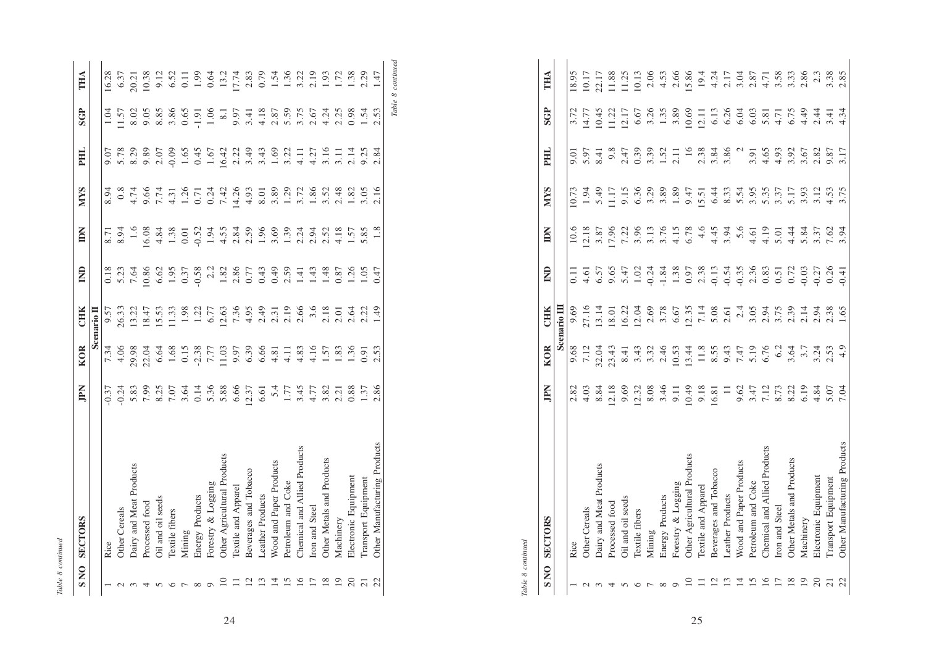| с |  |
|---|--|
|   |  |

| <b>SNO</b> | <b>SECTORS</b>               | <b>Ndif</b>            | <b>KOR</b>                 | CHIK           | $\mathsf{E}$                                                               | Š                                   | <b>NIVS</b>                                  | FН                           | <b>SGP</b>                                             | THA              |
|------------|------------------------------|------------------------|----------------------------|----------------|----------------------------------------------------------------------------|-------------------------------------|----------------------------------------------|------------------------------|--------------------------------------------------------|------------------|
|            |                              |                        |                            | Scenario II    |                                                                            |                                     |                                              |                              |                                                        |                  |
|            | Rice                         | 0.37                   | 7.34                       | 9.57           |                                                                            | 8.71                                | 8.94                                         | 9.07                         | 1.04                                                   | 6.28             |
|            | Other Cereals                | 0.24                   | 4.06                       | 26.33          | 0.18<br>5.23<br>7.64                                                       | $\frac{3.94}{ }$                    | $\frac{8}{2}$                                |                              | 1.57                                                   | 6.37             |
|            | Dairy and Meat Products      | 5.83                   | 9.98                       | 13.22          |                                                                            | $1.6\,$                             | 4.74                                         | 5.78                         | 8.02                                                   | 20.21            |
|            | Processed food               | 7.99                   | 22.04                      | 18.47          | 0.86                                                                       | 6.08                                | 9.66<br>7.74<br>4.31<br>1.26<br>1.42<br>7.42 |                              |                                                        | 0.38             |
|            | Oil and oil seeds            |                        | 6.64                       | 15.53          | 6.62                                                                       | 4.84                                |                                              | 9.89<br>2.07<br>0.09<br>1.65 | 9.85<br>8.85                                           | 9.12             |
|            | <b>Textile</b> fibers        | 8.25<br>7.07<br>3.64   | 1.68                       | 1.33           |                                                                            |                                     |                                              |                              | 3.86                                                   | 6.52             |
|            | Mining                       |                        |                            | 1.98           | $1.95$<br>0.37                                                             | $\frac{1.38}{0.01}$                 |                                              |                              | 0.65                                                   | $\overline{0}$ . |
|            | Energy Products              | $0.14$<br>5.36<br>5.88 | $0.15$<br>$7.77$<br>$7.77$ |                | 0.58                                                                       | 0.52                                |                                              | 0.45                         | 1.91                                                   | 1.99             |
|            | Forestry & Logging           |                        |                            | $1.22$<br>6.77 |                                                                            |                                     |                                              | 1.67                         | 1.06                                                   | 0.64             |
|            | Other Agricultural Products  |                        | 11.03                      | 12.63          |                                                                            |                                     |                                              | 16.42                        | $\overline{8}$ .                                       | 13.2             |
|            | Textile and Apparel          | 6.66                   |                            |                | $\begin{array}{c} 2.2 \\ 1.81 \\ 2.86 \\ 0.77 \\ 0.43 \\ 0.49 \end{array}$ | 1<br>1989<br>2090 1999<br>2090 1999 | 4.26                                         | $2.22$<br>$3.49$             | 9.97                                                   | 7.74             |
|            | Beverages and Tobacco        | .2.37                  | 9.97<br>6.39               |                |                                                                            |                                     | 4.93                                         |                              | 3.41                                                   | 2.83             |
|            | <b>Leather Products</b>      | 6.61                   | 6.66                       |                |                                                                            |                                     | 8.01                                         | 3.43                         |                                                        | 0.79             |
|            | Wood and Paper Products      | 5.4                    | 4.81                       |                |                                                                            |                                     | 3.89                                         |                              |                                                        | 1.54             |
|            | Petroleum and Coke           | 1.77                   | 4.11                       |                | 2.59                                                                       |                                     | 1.29                                         |                              |                                                        | 1.36             |
|            | Chemical and Allied Products | 3.45                   | 4.83                       |                | 1.41                                                                       |                                     | 3.72                                         |                              |                                                        | 3.22             |
|            | Iron and Steel               | 4.77                   | 4.16                       |                | 1.43                                                                       |                                     | 1.86                                         |                              |                                                        | 2.19             |
|            | Other Metals and Products    | 3.82                   | 1.57                       |                | 1.48                                                                       |                                     | $3.52$<br>2.48                               |                              | 4.18<br>2.8.59<br>4.2.59<br>4.2.54<br>4.2.59<br>4.2.55 | $\frac{6}{2}$    |
|            | Machinery                    | 2.21                   | 1.83                       |                | 0.87                                                                       |                                     |                                              |                              |                                                        | $\overline{172}$ |
|            | Electronic Equipment         | 0.88                   | 1.36                       |                | 1.26                                                                       | 1.57                                | 1.82                                         |                              | 0.98                                                   | 38               |
|            | Transport Equipment          | 1.37                   | 0.91                       |                | $\frac{1}{2}$                                                              | 5.85                                | 3.05                                         |                              | 1.54                                                   | 2.29             |
| 22         | Other Manufacturing Products | 2.86                   | 2.53                       | 1.49           | 0.47                                                                       | 1.8                                 | 2.16                                         | 2.84                         | 2.53                                                   | 1.47             |

 $Table\ 8\ continued$ *Table 8 continued*

> Table 8 continued *Table 8 continued*

|                         | <b>SECTORS</b>               |                                                      |                                                                                                |                                                         |              |                                     |                      |                          | <b>SGP</b>           |                       |
|-------------------------|------------------------------|------------------------------------------------------|------------------------------------------------------------------------------------------------|---------------------------------------------------------|--------------|-------------------------------------|----------------------|--------------------------|----------------------|-----------------------|
| SNO                     |                              | JPN                                                  | <b>KOR</b>                                                                                     | CHK                                                     | $\mathsf{S}$ | Ă                                   | <b>NIYS</b>          | PHL                      |                      | THA                   |
|                         |                              |                                                      |                                                                                                | Scenario III                                            |              |                                     |                      |                          |                      |                       |
|                         | Rice                         | 2.82                                                 | 9.68                                                                                           | 9.69                                                    |              | 10.6                                | 0.73                 | 9.01                     |                      | 18.95                 |
|                         | <b>Other Cereals</b>         | 4.03                                                 |                                                                                                |                                                         |              | 12.18                               |                      | 5.97                     |                      | 10.17                 |
|                         | Dairy and Meat Products      |                                                      | 7.12<br>2.04<br>2.3.43<br>3.43                                                                 | 27.16<br>13.14<br>18.01                                 |              |                                     | $1.94$<br>5.49       | $\overline{\phantom{1}}$ | $14.77$<br>10.45     |                       |
|                         | Processed food               | $8.84$<br>12.18                                      |                                                                                                |                                                         |              | $3.87$<br>$7.96$<br>$7.22$          |                      | 9.8                      |                      | 22.17<br>1.88<br>1.25 |
|                         | Oil and oil seeds            | 9.69                                                 |                                                                                                |                                                         |              |                                     |                      | 2.47                     | $\frac{11.22}{2.17}$ |                       |
|                         | Textile fibers               | 12.32                                                |                                                                                                | $\frac{16.22}{12.04}$                                   |              |                                     | 9.15<br>6.36<br>3.29 | 0.39                     | 6.67                 | 10.13                 |
|                         | Mining                       |                                                      |                                                                                                |                                                         |              | 3.96                                |                      | 3.39                     | 3.26                 | 2.06                  |
|                         | Energy Products              | $8.08$<br>3.46                                       | $3.32$<br>$2.46$                                                                               |                                                         |              | 3.76                                | 3.89                 |                          | 1.35                 | 4.53                  |
|                         | Forestry & Logging           | 9.11                                                 | $10.53$<br>$13.44$                                                                             | 3.78<br>6.67                                            |              | 4.15                                | 1.89                 | $1.52$<br>$2.11$         | 3.89                 | 2.66                  |
|                         | Other Agricultural Products  | (0.49)                                               |                                                                                                |                                                         |              | 6.78                                | 9.47                 |                          | 10.69                | 15.86                 |
|                         | Textile and Apparel          | $\begin{array}{c} 9.18 \\ 16.81 \\ 11 \end{array}$   |                                                                                                | $12.35$<br>7.14                                         |              |                                     | $15.51$<br>6.44      | $16$<br>2.38<br>3.84     | 12.11                | 19.4                  |
| $\overline{\mathsf{C}}$ | Beverages and Tobacco        |                                                      |                                                                                                |                                                         |              |                                     |                      |                          | 6.13                 | $4.24$<br>2.17        |
|                         | <b>Leather Products</b>      |                                                      |                                                                                                |                                                         |              | $4.45$<br>$3.94$<br>$5.6$<br>$4.61$ | 8.33                 | 3.86                     | 6.26                 |                       |
|                         | Wood and Paper Products      |                                                      |                                                                                                |                                                         |              |                                     | 5.54                 |                          | 6.04                 | 3.04                  |
|                         | Petroleum and Coke           |                                                      |                                                                                                |                                                         |              |                                     |                      | 3.91                     | 6.03                 | 2.87                  |
|                         | Chemical and Allied Products |                                                      |                                                                                                |                                                         |              | 4.19                                | 3.35                 | 4.65                     | 5.81                 | 4.71                  |
|                         | Iron and Steel               |                                                      | $\begin{array}{c}\n 11.8 \\  8.55 \\  8.547 \\  9.47 \\  7.19 \\  6.76 \\  3.64\n \end{array}$ |                                                         |              |                                     | 3.37                 | 4.93                     |                      | 3.58                  |
|                         | Other Metals and Products    |                                                      |                                                                                                |                                                         |              | $5.01$<br>4.44                      | 5.17                 |                          | 4.71<br>6.75         | 3.33                  |
|                         | Machinery                    | 0.67<br>0.47<br>0.77<br>0.78<br>0.78<br>0.79<br>0.79 | $3.7$<br>$3.24$<br>$2.53$                                                                      | 8<br>8 5 7 8 9 7 8 9 7 9 7 9 8<br>6 9 9 9 9 9 9 1 9 8 9 |              |                                     | 3.93                 | 3.92                     | 4.49                 | 2.86                  |
|                         | Electronic Equipment         |                                                      |                                                                                                |                                                         |              | 5.84<br>3.37                        | 3.12                 | 2.82                     | 2.44                 | 2.3                   |
|                         | Transport Equipment          |                                                      |                                                                                                |                                                         |              | 7.62                                | 4.53                 | 9.87                     | 3.41                 | 3.38                  |
| 22                      | Other Manufacturing Products | 7.04                                                 | 4.9                                                                                            | 1.65                                                    |              | 3.94                                | 3.75                 | 3.17                     | 4.34                 | 2.85                  |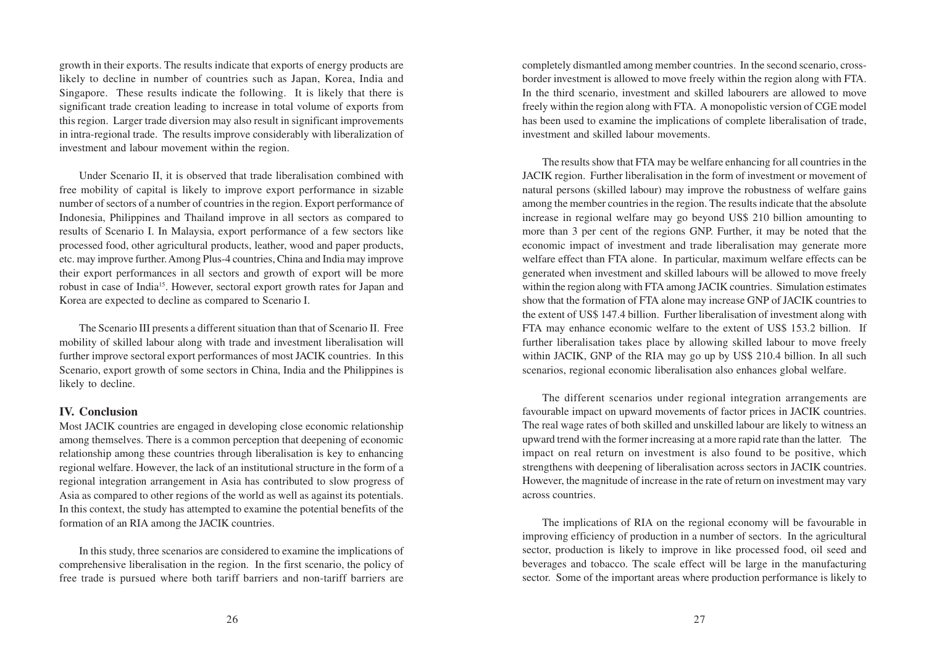growth in their exports. The results indicate that exports of energy products are likely to decline in number of countries such as Japan, Korea, India and Singapore. These results indicate the following. It is likely that there is significant trade creation leading to increase in total volume of exports from this region. Larger trade diversion may also result in significant improvements in intra-regional trade. The results improve considerably with liberalization of investment and labour movement within the region.

Under Scenario II, it is observed that trade liberalisation combined with free mobility of capital is likely to improve export performance in sizable number of sectors of a number of countries in the region. Export performance of Indonesia, Philippines and Thailand improve in all sectors as compared to results of Scenario I. In Malaysia, export performance of a few sectors like processed food, other agricultural products, leather, wood and paper products, etc. may improve further. Among Plus-4 countries, China and India may improve their export performances in all sectors and growth of export will be more robust in case of India15. However, sectoral export growth rates for Japan and Korea are expected to decline as compared to Scenario I.

The Scenario III presents a different situation than that of Scenario II. Free mobility of skilled labour along with trade and investment liberalisation will further improve sectoral export performances of most JACIK countries. In this Scenario, export growth of some sectors in China, India and the Philippines is likely to decline.

#### **IV. Conclusion**

Most JACIK countries are engaged in developing close economic relationship among themselves. There is a common perception that deepening of economic relationship among these countries through liberalisation is key to enhancing regional welfare. However, the lack of an institutional structure in the form of a regional integration arrangement in Asia has contributed to slow progress of Asia as compared to other regions of the world as well as against its potentials. In this context, the study has attempted to examine the potential benefits of the formation of an RIA among the JACIK countries.

In this study, three scenarios are considered to examine the implications of comprehensive liberalisation in the region. In the first scenario, the policy of free trade is pursued where both tariff barriers and non-tariff barriers are

completely dismantled among member countries. In the second scenario, crossborder investment is allowed to move freely within the region along with FTA. In the third scenario, investment and skilled labourers are allowed to move freely within the region along with FTA. A monopolistic version of CGE model has been used to examine the implications of complete liberalisation of trade, investment and skilled labour movements.

The results show that FTA may be welfare enhancing for all countries in the JACIK region. Further liberalisation in the form of investment or movement of natural persons (skilled labour) may improve the robustness of welfare gains among the member countries in the region. The results indicate that the absolute increase in regional welfare may go beyond US\$ 210 billion amounting to more than 3 per cent of the regions GNP. Further, it may be noted that the economic impact of investment and trade liberalisation may generate more welfare effect than FTA alone. In particular, maximum welfare effects can be generated when investment and skilled labours will be allowed to move freely within the region along with FTA among JACIK countries. Simulation estimates show that the formation of FTA alone may increase GNP of JACIK countries to the extent of US\$ 147.4 billion. Further liberalisation of investment along with FTA may enhance economic welfare to the extent of US\$ 153.2 billion. If further liberalisation takes place by allowing skilled labour to move freely within JACIK, GNP of the RIA may go up by US\$ 210.4 billion. In all such scenarios, regional economic liberalisation also enhances global welfare.

The different scenarios under regional integration arrangements are favourable impact on upward movements of factor prices in JACIK countries. The real wage rates of both skilled and unskilled labour are likely to witness an upward trend with the former increasing at a more rapid rate than the latter. The impact on real return on investment is also found to be positive, which strengthens with deepening of liberalisation across sectors in JACIK countries. However, the magnitude of increase in the rate of return on investment may vary across countries.

The implications of RIA on the regional economy will be favourable in improving efficiency of production in a number of sectors. In the agricultural sector, production is likely to improve in like processed food, oil seed and beverages and tobacco. The scale effect will be large in the manufacturing sector. Some of the important areas where production performance is likely to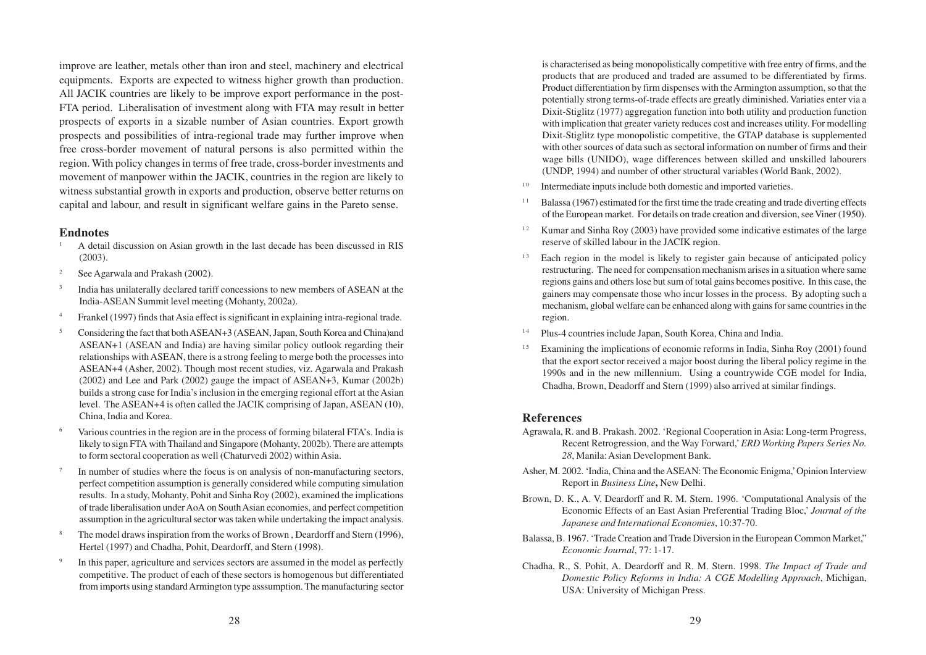improve are leather, metals other than iron and steel, machinery and electrical equipments. Exports are expected to witness higher growth than production. All JACIK countries are likely to be improve export performance in the post-FTA period. Liberalisation of investment along with FTA may result in better prospects of exports in a sizable number of Asian countries. Export growth prospects and possibilities of intra-regional trade may further improve when free cross-border movement of natural persons is also permitted within the region. With policy changes in terms of free trade, cross-border investments and movement of manpower within the JACIK, countries in the region are likely to witness substantial growth in exports and production, observe better returns on capital and labour, and result in significant welfare gains in the Pareto sense.

#### **Endnotes**

- <sup>1</sup> A detail discussion on Asian growth in the last decade has been discussed in RIS (2003).
- <sup>2</sup> See Agarwala and Prakash (2002).
- <sup>3</sup> India has unilaterally declared tariff concessions to new members of ASEAN at the India-ASEAN Summit level meeting (Mohanty, 2002a).
- <sup>4</sup> Frankel (1997) finds that Asia effect is significant in explaining intra-regional trade.
- <sup>5</sup> Considering the fact that both ASEAN+3 (ASEAN, Japan, South Korea and China)and ASEAN+1 (ASEAN and India) are having similar policy outlook regarding their relationships with ASEAN, there is a strong feeling to merge both the processes into ASEAN+4 (Asher, 2002). Though most recent studies, viz. Agarwala and Prakash (2002) and Lee and Park (2002) gauge the impact of ASEAN+3, Kumar (2002b) builds a strong case for India's inclusion in the emerging regional effort at the Asian level. The ASEAN+4 is often called the JACIK comprising of Japan, ASEAN (10), China, India and Korea.
- Various countries in the region are in the process of forming bilateral FTA's. India is likely to sign FTA with Thailand and Singapore (Mohanty, 2002b). There are attempts to form sectoral cooperation as well (Chaturvedi 2002) within Asia.
- In number of studies where the focus is on analysis of non-manufacturing sectors, perfect competition assumption is generally considered while computing simulation results. In a study, Mohanty, Pohit and Sinha Roy (2002), examined the implications of trade liberalisation under AoA on South Asian economies, and perfect competition assumption in the agricultural sector was taken while undertaking the impact analysis.
- <sup>8</sup> The model draws inspiration from the works of Brown , Deardorff and Stern (1996), Hertel (1997) and Chadha, Pohit, Deardorff, and Stern (1998).
- In this paper, agriculture and services sectors are assumed in the model as perfectly competitive. The product of each of these sectors is homogenous but differentiated from imports using standard Armington type asssumption. The manufacturing sector

is characterised as being monopolistically competitive with free entry of firms, and the products that are produced and traded are assumed to be differentiated by firms. Product differentiation by firm dispenses with the Armington assumption, so that the potentially strong terms-of-trade effects are greatly diminished. Variaties enter via a Dixit-Stiglitz (1977) aggregation function into both utility and production function with implication that greater variety reduces cost and increases utility. For modelling Dixit-Stiglitz type monopolistic competitive, the GTAP database is supplemented with other sources of data such as sectoral information on number of firms and their wage bills (UNIDO), wage differences between skilled and unskilled labourers (UNDP, 1994) and number of other structural variables (World Bank, 2002).

- Intermediate inputs include both domestic and imported varieties.
- $11$  Balassa (1967) estimated for the first time the trade creating and trade diverting effects of the European market. For details on trade creation and diversion, see Viner (1950).
- <sup>12</sup> Kumar and Sinha Roy (2003) have provided some indicative estimates of the large reserve of skilled labour in the JACIK region.
- $13$  Each region in the model is likely to register gain because of anticipated policy restructuring. The need for compensation mechanism arises in a situation where same regions gains and others lose but sum of total gains becomes positive. In this case, the gainers may compensate those who incur losses in the process. By adopting such a mechanism, global welfare can be enhanced along with gains for same countries in the region.
- 1 4 Plus-4 countries include Japan, South Korea, China and India.
- <sup>15</sup> Examining the implications of economic reforms in India, Sinha Roy (2001) found that the export sector received a major boost during the liberal policy regime in the 1990s and in the new millennium. Using a countrywide CGE model for India, Chadha, Brown, Deadorff and Stern (1999) also arrived at similar findings.

### **References**

- Agrawala, R. and B. Prakash. 2002. 'Regional Cooperation in Asia: Long-term Progress, Recent Retrogression, and the Way Forward,' *ERD Working Papers Series No. 28*, Manila: Asian Development Bank.
- Asher, M. 2002. 'India, China and the ASEAN: The Economic Enigma,' Opinion Interview Report in *Business Line***,** New Delhi.
- Brown, D. K., A. V. Deardorff and R. M. Stern. 1996. 'Computational Analysis of the Economic Effects of an East Asian Preferential Trading Bloc,' *Journal of the Japanese and International Economies*, 10:37-70.
- Balassa, B. 1967. 'Trade Creation and Trade Diversion in the European Common Market," *Economic Journal*, 77: 1-17.
- Chadha, R., S. Pohit, A. Deardorff and R. M. Stern. 1998. *The Impact of Trade and Domestic Policy Reforms in India: A CGE Modelling Approach*, Michigan, USA: University of Michigan Press.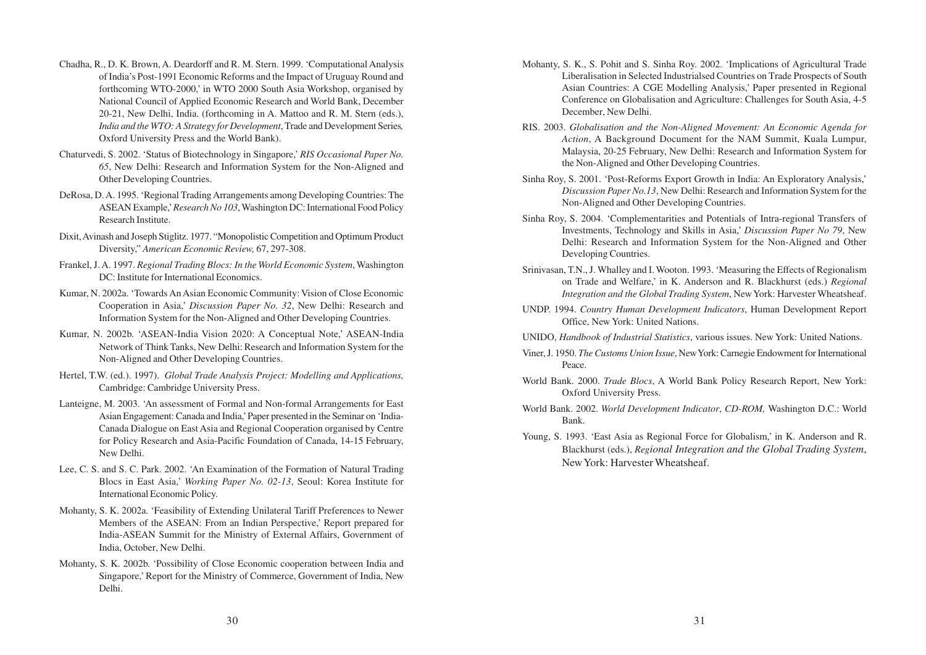- Chadha, R., D. K. Brown, A. Deardorff and R. M. Stern. 1999. 'Computational Analysis of India's Post-1991 Economic Reforms and the Impact of Uruguay Round and forthcoming WTO-2000,' in WTO 2000 South Asia Workshop, organised by National Council of Applied Economic Research and World Bank, December 20-21, New Delhi, India. (forthcoming in A. Mattoo and R. M. Stern (eds.), *India and the WTO: A Strategy for Development*, Trade and Development Series*,* Oxford University Press and the World Bank).
- Chaturvedi, S. 2002. 'Status of Biotechnology in Singapore,' *RIS Occasional Paper No. 65*, New Delhi: Research and Information System for the Non-Aligned and Other Developing Countries.
- DeRosa, D. A. 1995. 'Regional Trading Arrangements among Developing Countries: The ASEAN Example,' *Research No 103*, Washington DC: International Food Policy Research Institute.
- Dixit, Avinash and Joseph Stiglitz. 1977. "Monopolistic Competition and Optimum Product Diversity," *American Economic Review,* 67, 297-308.
- Frankel, J. A. 1997. *Regional Trading Blocs: In the World Economic System*, Washington DC: Institute for International Economics.
- Kumar, N. 2002a. 'Towards An Asian Economic Community: Vision of Close Economic Cooperation in Asia,' *Discussion Paper No. 32*, New Delhi: Research and Information System for the Non-Aligned and Other Developing Countries.
- Kumar, N. 2002b. 'ASEAN-India Vision 2020: A Conceptual Note,' ASEAN-India Network of Think Tanks, New Delhi: Research and Information System for the Non-Aligned and Other Developing Countries.
- Hertel, T.W. (ed.). 1997). *Global Trade Analysis Project: Modelling and Applications,* Cambridge: Cambridge University Press.
- Lanteigne, M. 2003. 'An assessment of Formal and Non-formal Arrangements for East Asian Engagement: Canada and India,' Paper presented in the Seminar on 'India-Canada Dialogue on East Asia and Regional Cooperation organised by Centre for Policy Research and Asia-Pacific Foundation of Canada, 14-15 February, New Delhi.
- Lee, C. S. and S. C. Park. 2002. 'An Examination of the Formation of Natural Trading Blocs in East Asia,' *Working Paper No. 02-13*, Seoul: Korea Institute for International Economic Policy.
- Mohanty, S. K. 2002a. 'Feasibility of Extending Unilateral Tariff Preferences to Newer Members of the ASEAN: From an Indian Perspective,' Report prepared for India-ASEAN Summit for the Ministry of External Affairs, Government of India, October, New Delhi.
- Mohanty, S. K. 2002b. 'Possibility of Close Economic cooperation between India and Singapore,' Report for the Ministry of Commerce, Government of India, New Delhi.
- Mohanty, S. K., S. Pohit and S. Sinha Roy. 2002. 'Implications of Agricultural Trade Liberalisation in Selected Industrialsed Countries on Trade Prospects of South Asian Countries: A CGE Modelling Analysis,' Paper presented in Regional Conference on Globalisation and Agriculture: Challenges for South Asia, 4-5 December, New Delhi.
- RIS. 2003. *Globalisation and the Non-Aligned Movement: An Economic Agenda for Action*, A Background Document for the NAM Summit, Kuala Lumpur, Malaysia, 20-25 February, New Delhi: Research and Information System for the Non-Aligned and Other Developing Countries.
- Sinha Roy, S. 2001. 'Post-Reforms Export Growth in India: An Exploratory Analysis,' *Discussion Paper No.13*, New Delhi: Research and Information System for the Non-Aligned and Other Developing Countries.
- Sinha Roy, S. 2004. 'Complementarities and Potentials of Intra-regional Transfers of Investments, Technology and Skills in Asia,' *Discussion Paper No 79*, New Delhi: Research and Information System for the Non-Aligned and Other Developing Countries.
- Srinivasan, T.N., J. Whalley and I. Wooton. 1993. 'Measuring the Effects of Regionalism on Trade and Welfare,' in K. Anderson and R. Blackhurst (eds.) *Regional Integration and the Global Trading System*, New York: Harvester Wheatsheaf.
- UNDP. 1994. *Country Human Development Indicators*, Human Development Report Office, New York: United Nations.
- UNIDO, *Handbook of Industrial Statistics*, various issues. New York: United Nations.
- Viner, J. 1950. *The Customs Union Issue*, New York: Carnegie Endowment for International Peace.
- World Bank. 2000. *Trade Blocs*, A World Bank Policy Research Report, New York: Oxford University Press.
- World Bank. 2002. *World Development Indicator*, *CD-ROM,* Washington D.C.: World Bank.
- Young, S. 1993. 'East Asia as Regional Force for Globalism,' in K. Anderson and R. Blackhurst (eds.), *Regional Integration and the Global Trading System*, New York: Harvester Wheatsheaf.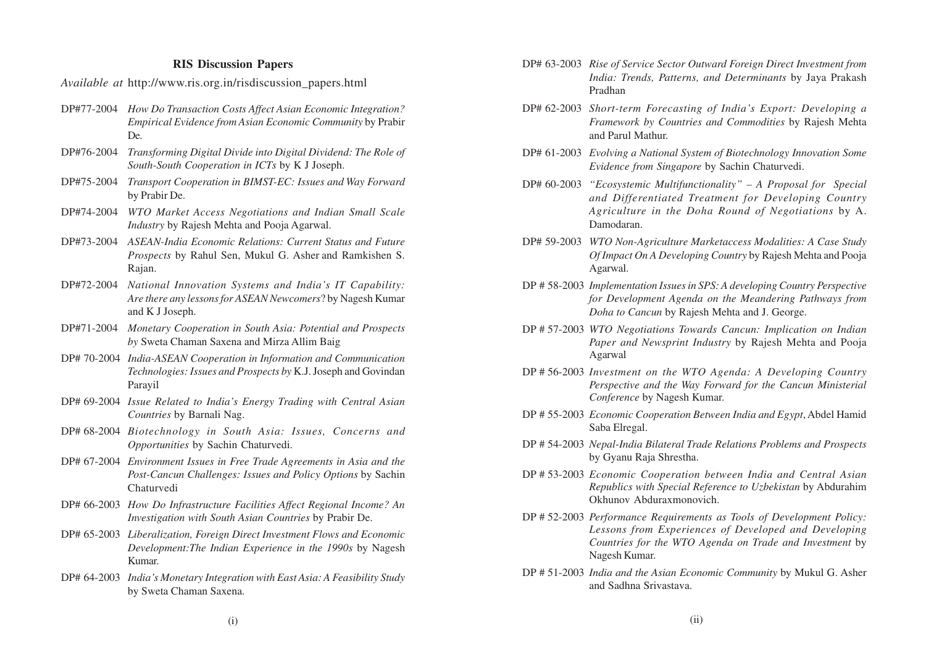#### **RIS Discussion Papers**

*Available at* http://www.ris.org.in/risdiscussion\_papers.html

- DP#77-2004 *How Do Transaction Costs Affect Asian Economic Integration? Empirical Evidence from Asian Economic Community* by Prabir De.
- DP#76-2004 *Transforming Digital Divide into Digital Dividend: The Role of South-South Cooperation in ICTs* by K J Joseph.
- DP#75-2004 *Transport Cooperation in BIMST-EC: Issues and Way Forward* by Prabir De.
- DP#74-2004 *WTO Market Access Negotiations and Indian Small Scale Industry* by Rajesh Mehta and Pooja Agarwal.
- DP#73-2004 *ASEAN-India Economic Relations: Current Status and Future Prospects* by Rahul Sen, Mukul G. Asher and Ramkishen S. Rajan.
- DP#72-2004 *National Innovation Systems and India's IT Capability: Are there any lessons for ASEAN Newcomers*? by Nagesh Kumar and K J Joseph.
- DP#71-2004 *Monetary Cooperation in South Asia: Potential and Prospects by* Sweta Chaman Saxena and Mirza Allim Baig
- DP# 70-2004 *India-ASEAN Cooperation in Information and Communication Technologies: Issues and Prospects by* K.J. Joseph and Govindan Parayil
- DP# 69-2004 *Issue Related to India's Energy Trading with Central Asian Countries* by Barnali Nag.
- DP# 68-2004 *Biotechnology in South Asia: Issues, Concerns and Opportunities* by Sachin Chaturvedi.
- DP# 67-2004 *Environment Issues in Free Trade Agreements in Asia and the Post-Cancun Challenges: Issues and Policy Options* by Sachin Chaturvedi
- DP# 66-2003 *How Do Infrastructure Facilities Affect Regional Income? An Investigation with South Asian Countries* by Prabir De.
- DP# 65-2003 *Liberalization, Foreign Direct Investment Flows and Economic Development:The Indian Experience in the 1990s* by Nagesh Kumar.
- DP# 64-2003 *India's Monetary Integration with East Asia: A Feasibility Study* by Sweta Chaman Saxena.
- DP# 63-2003 *Rise of Service Sector Outward Foreign Direct Investment from India: Trends, Patterns, and Determinants* by Jaya Prakash Pradhan
- DP# 62-2003 *Short-term Forecasting of India's Export: Developing a Framework by Countries and Commodities* by Rajesh Mehta and Parul Mathur.
- DP# 61-2003 *Evolving a National System of Biotechnology Innovation Some Evidence from Singapore* by Sachin Chaturvedi.
- DP# 60-2003 *"Ecosystemic Multifunctionality" A Proposal for Special and Differentiated Treatment for Developing Country Agriculture in the Doha Round of Negotiations* by A. Damodaran.
- DP# 59-2003 *WTO Non-Agriculture Marketaccess Modalities: A Case Study Of Impact On A Developing Country* by Rajesh Mehta and Pooja Agarwal.
- DP # 58-2003 *Implementation Issues in SPS: A developing Country Perspective for Development Agenda on the Meandering Pathways from Doha to Cancun* by Rajesh Mehta and J. George.
- DP # 57-2003 *WTO Negotiations Towards Cancun: Implication on Indian Paper and Newsprint Industry* by Rajesh Mehta and Pooja Agarwal
- DP # 56-2003 *Investment on the WTO Agenda: A Developing Country Perspective and the Way Forward for the Cancun Ministerial Conference* by Nagesh Kumar.
- DP # 55-2003 *Economic Cooperation Between India and Egypt*, Abdel Hamid Saba Elregal.
- DP # 54-2003 *Nepal-India Bilateral Trade Relations Problems and Prospects* by Gyanu Raja Shrestha.
- DP # 53-2003 *Economic Cooperation between India and Central Asian Republics with Special Reference to Uzbekistan* by Abdurahim Okhunov Abduraxmonovich.
- DP # 52-2003 *Performance Requirements as Tools of Development Policy: Lessons from Experiences of Developed and Developing Countries for the WTO Agenda on Trade and Investment* by Nagesh Kumar.
- DP # 51-2003 *India and the Asian Economic Community* by Mukul G. Asher and Sadhna Srivastava.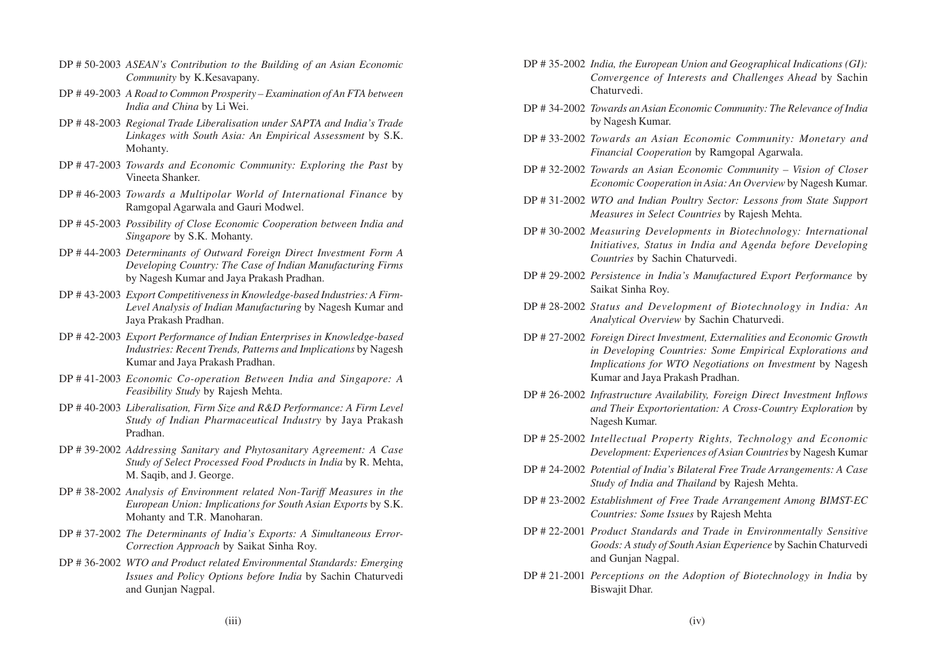- DP # 50-2003 *ASEAN's Contribution to the Building of an Asian Economic Community* by K.Kesavapany.
- DP # 49-2003 *A Road to Common Prosperity Examination of An FTA between India and China* by Li Wei.
- DP # 48-2003 *Regional Trade Liberalisation under SAPTA and India's Trade Linkages with South Asia: An Empirical Assessment* by S.K. Mohanty.
- DP # 47-2003 *Towards and Economic Community: Exploring the Past* by Vineeta Shanker.
- DP # 46-2003 *Towards a Multipolar World of International Finance* by Ramgopal Agarwala and Gauri Modwel.
- DP # 45-2003 *Possibility of Close Economic Cooperation between India and Singapore* by S.K. Mohanty.
- DP # 44-2003 *Determinants of Outward Foreign Direct Investment Form A Developing Country: The Case of Indian Manufacturing Firms* by Nagesh Kumar and Jaya Prakash Pradhan.
- DP # 43-2003 *Export Competitiveness in Knowledge-based Industries: A Firm-Level Analysis of Indian Manufacturing* by Nagesh Kumar and Jaya Prakash Pradhan.
- DP # 42-2003 *Export Performance of Indian Enterprises in Knowledge-based Industries: Recent Trends, Patterns and Implications* by Nagesh Kumar and Jaya Prakash Pradhan.
- DP # 41-2003 *Economic Co-operation Between India and Singapore: A Feasibility Study* by Rajesh Mehta.
- DP # 40-2003 *Liberalisation, Firm Size and R&D Performance: A Firm Level Study of Indian Pharmaceutical Industry* by Jaya Prakash Pradhan.
- DP # 39-2002 *Addressing Sanitary and Phytosanitary Agreement: A Case Study of Select Processed Food Products in India* by R. Mehta, M. Saqib, and J. George.
- DP # 38-2002 *Analysis of Environment related Non-Tariff Measures in the European Union: Implications for South Asian Exports* by S.K. Mohanty and T.R. Manoharan.
- DP # 37-2002 *The Determinants of India's Exports: A Simultaneous Error-Correction Approach* by Saikat Sinha Roy.
- DP # 36-2002 *WTO and Product related Environmental Standards: Emerging Issues and Policy Options before India* by Sachin Chaturvedi and Gunjan Nagpal.
- DP # 35-2002 *India, the European Union and Geographical Indications (GI): Convergence of Interests and Challenges Ahead* by Sachin Chaturvedi.
- DP # 34-2002 *Towards an Asian Economic Community: The Relevance of India* by Nagesh Kumar.
- DP # 33-2002 *Towards an Asian Economic Community: Monetary and Financial Cooperation* by Ramgopal Agarwala.
- DP # 32-2002 *Towards an Asian Economic Community Vision of Closer Economic Cooperation in Asia: An Overview* by Nagesh Kumar.
- DP # 31-2002 *WTO and Indian Poultry Sector: Lessons from State Support Measures in Select Countries* by Rajesh Mehta.
- DP # 30-2002 *Measuring Developments in Biotechnology: International Initiatives, Status in India and Agenda before Developing Countries* by Sachin Chaturvedi.
- DP # 29-2002 *Persistence in India's Manufactured Export Performance* by Saikat Sinha Roy.
- DP # 28-2002 *Status and Development of Biotechnology in India: An Analytical Overview* by Sachin Chaturvedi.
- DP # 27-2002 *Foreign Direct Investment, Externalities and Economic Growth in Developing Countries: Some Empirical Explorations and Implications for WTO Negotiations on Investment* by Nagesh Kumar and Jaya Prakash Pradhan.
- DP # 26-2002 *Infrastructure Availability, Foreign Direct Investment Inflows and Their Exportorientation: A Cross-Country Exploration* by Nagesh Kumar.
- DP # 25-2002 *Intellectual Property Rights, Technology and Economic Development: Experiences of Asian Countries* by Nagesh Kumar
- DP # 24-2002 *Potential of India's Bilateral Free Trade Arrangements: A Case Study of India and Thailand* by Rajesh Mehta.
- DP # 23-2002 *Establishment of Free Trade Arrangement Among BIMST-EC Countries: Some Issues* by Rajesh Mehta
- DP # 22-2001 *Product Standards and Trade in Environmentally Sensitive Goods: A study of South Asian Experience* by Sachin Chaturvedi and Gunjan Nagpal.
- DP # 21-2001 *Perceptions on the Adoption of Biotechnology in India* by Biswajit Dhar.